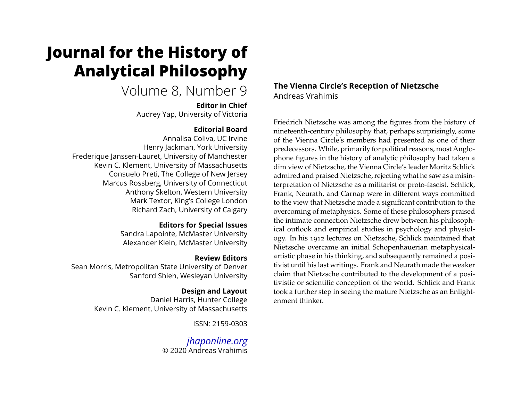# <span id="page-0-0"></span>**Journal for the History of Analytical Philosophy**

# Volume 8, Number 9

**Editor in Chief** Audrey Yap, University of Victoria

#### **Editorial Board**

Annalisa Coliva, UC Irvine Henry Jackman, York University Frederique Janssen-Lauret, University of Manchester Kevin C. Klement, University of Massachusetts Consuelo Preti, The College of New Jersey Marcus Rossberg, University of Connecticut Anthony Skelton, Western University Mark Textor, King's College London Richard Zach, University of Calgary

#### **Editors for Special Issues**

Sandra Lapointe, McMaster University Alexander Klein, McMaster University

### **Review Editors**

Sean Morris, Metropolitan State University of Denver Sanford Shieh, Wesleyan University

# **Design and Layout**

Daniel Harris, Hunter College Kevin C. Klement, University of Massachusetts

ISSN: 2159-0303

*[jhaponline.org](https://jhaponline.org)* © 2020 Andreas Vrahimis

# **The Vienna Circle's Reception of Nietzsche** Andreas Vrahimis

Friedrich Nietzsche was among the figures from the history of nineteenth-century philosophy that, perhaps surprisingly, some of the Vienna Circle's members had presented as one of their predecessors. While, primarily for political reasons, most Anglophone figures in the history of analytic philosophy had taken a dim view of Nietzsche, the Vienna Circle's leader Moritz Schlick admired and praised Nietzsche, rejecting what he saw as a misinterpretation of Nietzsche as a militarist or proto-fascist. Schlick, Frank, Neurath, and Carnap were in different ways committed to the view that Nietzsche made a significant contribution to the overcoming of metaphysics. Some of these philosophers praised the intimate connection Nietzsche drew between his philosophical outlook and empirical studies in psychology and physiology. In his 1912 lectures on Nietzsche, Schlick maintained that Nietzsche overcame an initial Schopenhauerian metaphysicalartistic phase in his thinking, and subsequently remained a positivist until his last writings. Frank and Neurath made the weaker claim that Nietzsche contributed to the development of a positivistic or scientific conception of the world. Schlick and Frank took a further step in seeing the mature Nietzsche as an Enlightenment thinker.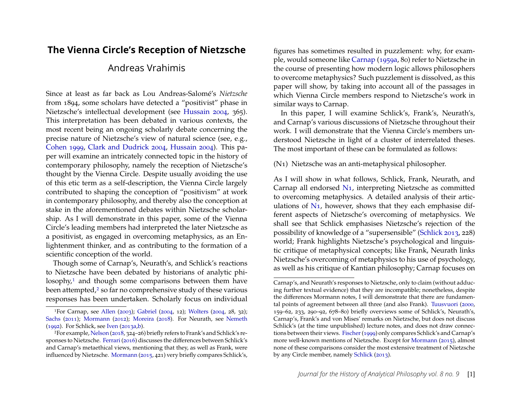## **The Vienna Circle's Reception of Nietzsche**

# Andreas Vrahimis

Since at least as far back as Lou Andreas-Salomé's *Nietzsche* from 1894, some scholars have detected a "positivist" phase in Nietzsche's intellectual development (see [Hussain 2004,](#page-26-0) 365). This interpretation has been debated in various contexts, the most recent being an ongoing scholarly debate concerning the precise nature of Nietzsche's view of natural science (see, e.g., [Cohen 1999,](#page-25-0) [Clark and Dudrick 2004,](#page-25-1) [Hussain 2004\)](#page-26-0). This paper will examine an intricately connected topic in the history of contemporary philosophy, namely the reception of Nietzsche's thought by the Vienna Circle. Despite usually avoiding the use of this etic term as a self-description, the Vienna Circle largely contributed to shaping the conception of "positivism" at work in contemporary philosophy, and thereby also the conception at stake in the aforementioned debates within Nietzsche scholarship. As I will demonstrate in this paper, some of the Vienna Circle's leading members had interpreted the later Nietzsche as a positivist, as engaged in overcoming metaphysics, as an Enlightenment thinker, and as contributing to the formation of a scientific conception of the world.

Though some of Carnap's, Neurath's, and Schlick's reactions to Nietzsche have been debated by historians of analytic phi-losophy,<sup>[1](#page-1-0)</sup> and though some comparisons between them have been attempted,<sup>[2](#page-1-1)</sup> so far no comprehensive study of these various responses has been undertaken. Scholarly focus on individual figures has sometimes resulted in puzzlement: why, for example, would someone like [Carnap](#page-25-3) [\(1959a,](#page-25-3) 80) refer to Nietzsche in the course of presenting how modern logic allows philosophers to overcome metaphysics? Such puzzlement is dissolved, as this paper will show, by taking into account all of the passages in which Vienna Circle members respond to Nietzsche's work in similar ways to Carnap.

In this paper, I will examine Schlick's, Frank's, Neurath's, and Carnap's various discussions of Nietzsche throughout their work. I will demonstrate that the Vienna Circle's members understood Nietzsche in light of a cluster of interrelated theses. The most important of these can be formulated as follows:

(N1) Nietzsche was an anti-metaphysical philosopher.

As I will show in what follows, Schlick, Frank, Neurath, and Carnap all endorsed [N1,](#page-0-0) interpreting Nietzsche as committed to overcoming metaphysics. A detailed analysis of their articulations of [N1,](#page-0-0) however, shows that they each emphasise different aspects of Nietzsche's overcoming of metaphysics. We shall see that Schlick emphasises Nietzsche's rejection of the possibility of knowledge of a "supersensible" [\(Schlick 2013,](#page-28-1) 228) world; Frank highlights Nietzsche's psychological and linguistic critique of metaphysical concepts; like Frank, Neurath links Nietzsche's overcoming of metaphysics to his use of psychology, as well as his critique of Kantian philosophy; Carnap focuses on

<span id="page-1-0"></span><sup>1</sup>For Carnap, see [Allen](#page-25-2) [\(2003\)](#page-25-2); [Gabriel](#page-26-1) [\(2004,](#page-26-1) 12); [Wolters](#page-29-0) [\(2004,](#page-29-0) 28, 32); [Sachs](#page-28-0) [\(2011\)](#page-28-0); [Mormann](#page-27-0) [\(2012\)](#page-27-0); [Moreira](#page-27-1) [\(2018\)](#page-27-1). For Neurath, see [Nemeth](#page-27-2) [\(1992\)](#page-27-2). For Schlick, see [Iven](#page-26-2) [\(2013a,](#page-26-2)[b\)](#page-26-3).

<span id="page-1-1"></span><sup>2</sup>For example, [Nelson](#page-27-3) [\(2018,](#page-27-3) 324–26) briefly refers to Frank's and Schlick's responses to Nietzsche. [Ferrari](#page-26-4) [\(2016\)](#page-26-4) discusses the differences between Schlick's and Carnap's metaethical views, mentioning that they, as well as Frank, were influenced by Nietzsche. [Mormann](#page-27-4) [\(2015,](#page-27-4) 421) very briefly compares Schlick's,

Carnap's, and Neurath's responses to Nietzsche, only to claim (without adducing further textual evidence) that they are incompatible; nonetheless, despite the differences Mormann notes, I will demonstrate that there are fundamental points of agreement between all three (and also Frank). [Tuusvuori](#page-29-1) [\(2000,](#page-29-1) 159–62, 233, 290–92, 678–80) briefly overviews some of Schlick's, Neurath's, Carnap's, Frank's and von Mises' remarks on Nietzsche, but does not discuss Schlick's (at the time unpublished) lecture notes, and does not draw connections between their views. [Fischer\(1999\)](#page-26-5) only compares Schlick's and Carnap's more well-known mentions of Nietzsche. Except for [Mormann](#page-27-4) [\(2015\)](#page-27-4), almost none of these comparisons consider the most extensive treatment of Nietzsche by any Circle member, namely [Schlick](#page-28-1) [\(2013\)](#page-28-1).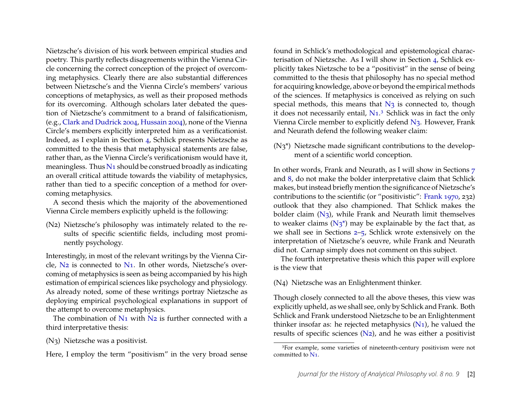Nietzsche's division of his work between empirical studies and poetry. This partly reflects disagreements within the Vienna Circle concerning the correct conception of the project of overcoming metaphysics. Clearly there are also substantial differences between Nietzsche's and the Vienna Circle's members' various conceptions of metaphysics, as well as their proposed methods for its overcoming. Although scholars later debated the question of Nietzsche's commitment to a brand of falsificationism, (e.g., [Clark and Dudrick 2004,](#page-25-1) [Hussain 2004\)](#page-26-0), none of the Vienna Circle's members explicitly interpreted him as a verificationist. Indeed, as I explain in Section [4,](#page-8-0) Schlick presents Nietzsche as committed to the thesis that metaphysical statements are false, rather than, as the Vienna Circle's verificationism would have it, meaningless. Thus  $N_1$  should be construed broadly as indicating an overall critical attitude towards the viability of metaphysics, rather than tied to a specific conception of a method for overcoming metaphysics.

A second thesis which the majority of the abovementioned Vienna Circle members explicitly upheld is the following:

(N2) Nietzsche's philosophy was intimately related to the results of specific scientific fields, including most prominently psychology.

Interestingly, in most of the relevant writings by the Vienna Circle, [N2](#page-0-0) is connected to [N1.](#page-0-0) In other words, Nietzsche's overcoming of metaphysics is seen as being accompanied by his high estimation of empirical sciences like psychology and physiology. As already noted, some of these writings portray Nietzsche as deploying empirical psychological explanations in support of the attempt to overcome metaphysics.

The combination of  $N_1$  with  $N_2$  is further connected with a third interpretative thesis:

(N3) Nietzsche was a positivist.

Here, I employ the term "positivism" in the very broad sense

found in Schlick's methodological and epistemological characterisation of Nietzsche. As I will show in Section [4,](#page-8-0) Schlick explicitly takes Nietzsche to be a "positivist" in the sense of being committed to the thesis that philosophy has no special method for acquiring knowledge, above or beyond the empirical methods of the sciences. If metaphysics is conceived as relying on such special methods, this means that  $N_3$  is connected to, though it does not necessarily entail, [N1.](#page-0-0)[3](#page-2-0) Schlick was in fact the only Vienna Circle member to explicitly defend [N3.](#page-0-0) However, Frank and Neurath defend the following weaker claim:

(N3\*) Nietzsche made significant contributions to the development of a scientific world conception.

In other words, Frank and Neurath, as I will show in Sections [7](#page-15-0) and [8,](#page-18-0) do not make the bolder interpretative claim that Schlick makes, but instead briefly mention the significance of Nietzsche's contributions to the scientific (or "positivistic": [Frank 1970,](#page-26-6) 232) outlook that they also championed. That Schlick makes the bolder claim  $(N_3)$ , while Frank and Neurath limit themselves to weaker claims  $(N_3^*)$  may be explainable by the fact that, as we shall see in Sections [2](#page-5-0)[–5,](#page-10-0) Schlick wrote extensively on the interpretation of Nietzsche's oeuvre, while Frank and Neurath did not. Carnap simply does not comment on this subject.

The fourth interpretative thesis which this paper will explore is the view that

(N4) Nietzsche was an Enlightenment thinker.

Though closely connected to all the above theses, this view was explicitly upheld, as we shall see, only by Schlick and Frank. Both Schlick and Frank understood Nietzsche to be an Enlightenment thinker insofar as: he rejected metaphysics  $(N_1)$ , he valued the results of specific sciences [\(N2\)](#page-0-0), and he was either a positivist

<span id="page-2-0"></span><sup>3</sup>For example, some varieties of nineteenth-century positivism were not committed to [N1.](#page-0-0)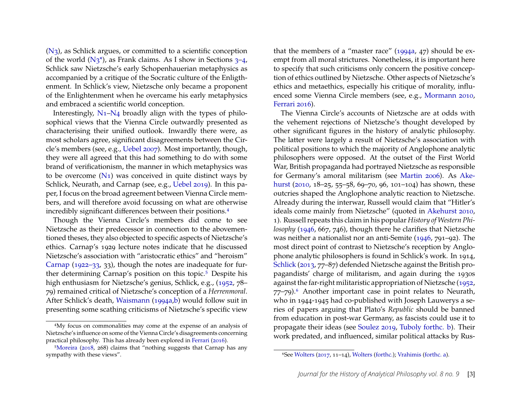[\(N3\)](#page-0-0), as Schlick argues, or committed to a scientific conception of the world  $(N_3^*)$  $(N_3^*)$  $(N_3^*)$ , as Frank claims. As I show in Sections  $3-4$ , Schlick saw Nietzsche's early Schopenhauerian metaphysics as accompanied by a critique of the Socratic culture of the Enligthenment. In Schlick's view, Nietzsche only became a proponent of the Enlightenment when he overcame his early metaphysics and embraced a scientific world conception.

Interestingly, [N1–N4](#page-0-0) broadly align with the types of philosophical views that the Vienna Circle outwardly presented as characterising their unified outlook. Inwardly there were, as most scholars agree, significant disagreements between the Circle's members (see, e.g., [Uebel 2007\)](#page-29-2). Most importantly, though, they were all agreed that this had something to do with some brand of verificationism, the manner in which metaphysics was to be overcome  $(N_1)$  was conceived in quite distinct ways by Schlick, Neurath, and Carnap (see, e.g., [Uebel 2019\)](#page-29-3). In this paper, I focus on the broad agreement between Vienna Circle members, and will therefore avoid focussing on what are otherwise incredibly significant differences between their positions.[4](#page-3-0)

Though the Vienna Circle's members did come to see Nietzsche as their predecessor in connection to the abovementioned theses, they also objected to specific aspects of Nietzsche's ethics. Carnap's 1929 lecture notes indicate that he discussed Nietzsche's association with "aristocratic ethics" and "heroism" [Carnap](#page-25-4) [\(1922–33,](#page-25-4) 33), though the notes are inadequate for fur-ther determining Carnap's position on this topic.<sup>[5](#page-3-1)</sup> Despite his high enthusiasm for Nietzsche's genius, Schlick, e.g., [\(1952,](#page-28-2) 78– 79) remained critical of Nietzsche's conception of a *Herrenmoral*. After Schlick's death, [Waismann](#page-29-4) [\(1994a,](#page-29-4)[b\)](#page-29-5) would follow suit in presenting some scathing criticisms of Nietzsche's specific view

that the members of a "master race" [\(1994a,](#page-29-4) 47) should be exempt from all moral strictures. Nonetheless, it is important here to specify that such criticisms only concern the positive conception of ethics outlined by Nietzsche. Other aspects of Nietzsche's ethics and metaethics, especially his critique of morality, influenced some Vienna Circle members (see, e.g., [Mormann 2010,](#page-27-5) [Ferrari 2016\)](#page-26-4).

The Vienna Circle's accounts of Nietzsche are at odds with the vehement rejections of Nietzsche's thought developed by other significant figures in the history of analytic philosophy. The latter were largely a result of Nietzsche's association with political positions to which the majority of Anglophone analytic philosophers were opposed. At the outset of the First World War, British propaganda had portrayed Nietzsche as responsible for Germany's amoral militarism (see [Martin 2006\)](#page-26-7). As [Ake](#page-25-5)[hurst](#page-25-5) [\(2010,](#page-25-5) 18–25, 55–58, 69–70, 96, 101–104) has shown, these outcries shaped the Anglophone analytic reaction to Nietzsche. Already during the interwar, Russell would claim that "Hitler's ideals come mainly from Nietzsche" (quoted in [Akehurst 2010,](#page-25-5) 1). Russell repeats this claim in his popular *History of Western Philosophy* [\(1946,](#page-27-6) 667, 746), though there he clarifies that Nietzsche was neither a nationalist nor an anti-Semite [\(1946,](#page-27-6) 791–92). The most direct point of contrast to Nietzsche's reception by Anglophone analytic philosophers is found in Schlick's work. In 1914, [Schlick](#page-28-1) [\(2013,](#page-28-1) 77–87) defended Nietzsche against the British propagandists' charge of militarism, and again during the 1930s against the far-right militaristic appropriation of Nietzsche [\(1952,](#page-28-2) 77–79).[6](#page-3-2) Another important case in point relates to Neurath, who in 1944-1945 had co-published with Joseph Lauwerys a series of papers arguing that Plato's *Republic* should be banned from education in post-war Germany, as fascists could use it to propagate their ideas (see [Soulez 2019,](#page-28-3) [Tuboly forthc. b\)](#page-28-4). Their work predated, and influenced, similar political attacks by Rus-

<span id="page-3-0"></span><sup>4</sup>My focus on commonalities may come at the expense of an analysis of Nietzsche's influence on some of the Vienna Circle's disagreements concerning practical philosophy. This has already been explored in [Ferrari](#page-26-4) [\(2016\)](#page-26-4).

<span id="page-3-1"></span><sup>5</sup>[Moreira](#page-27-1) [\(2018,](#page-27-1) 268) claims that "nothing suggests that Carnap has any sympathy with these views".

<span id="page-3-2"></span><sup>6</sup>See [Wolters](#page-29-6) [\(2017,](#page-29-6) 11–14), [Wolters](#page-29-7) [\(forthc.\)](#page-29-7); [Vrahimis](#page-29-8) [\(forthc. a\)](#page-29-8).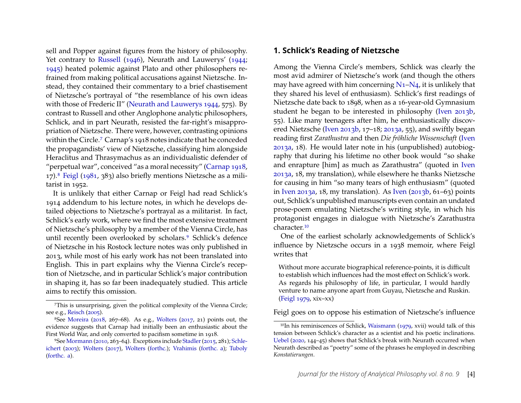sell and Popper against figures from the history of philosophy. Yet contrary to [Russell](#page-27-6) [\(1946\)](#page-27-6), Neurath and Lauwerys' [\(1944;](#page-27-7) [1945\)](#page-27-8) heated polemic against Plato and other philosophers refrained from making political accusations against Nietzsche. Instead, they contained their commentary to a brief chastisement of Nietzsche's portrayal of "the resemblance of his own ideas with those of Frederic II" [\(Neurath and Lauwerys 1944,](#page-27-7) 575). By contrast to Russell and other Anglophone analytic philosophers, Schlick, and in part Neurath, resisted the far-right's misappropriation of Nietzsche. There were, however, contrasting opinions within the Circle.[7](#page-4-0) Carnap's 1918 notes indicate that he conceded the propagandists' view of Nietzsche, classifying him alongside Heraclitus and Thrasymachus as an individualistic defender of "perpetual war", conceived "as a moral necessity" [\(Carnap 1918,](#page-25-6) 17).[8](#page-4-1) [Feigl](#page-26-8) [\(1981,](#page-26-8) 383) also briefly mentions Nietzsche as a militarist in 1952.

It is unlikely that either Carnap or Feigl had read Schlick's 1914 addendum to his lecture notes, in which he develops detailed objections to Nietzsche's portrayal as a militarist. In fact, Schlick's early work, where we find the most extensive treatment of Nietzsche's philosophy by a member of the Vienna Circle, has until recently been overlooked by scholars.<sup>[9](#page-4-2)</sup> Schlick's defence of Nietzsche in his Rostock lecture notes was only published in 2013, while most of his early work has not been translated into English. This in part explains why the Vienna Circle's reception of Nietzsche, and in particular Schlick's major contribution in shaping it, has so far been inadequately studied. This article aims to rectify this omission.

#### **1. Schlick's Reading of Nietzsche**

Among the Vienna Circle's members, Schlick was clearly the most avid admirer of Nietzsche's work (and though the others may have agreed with him concerning  $N_1-N_4$ , it is unlikely that they shared his level of enthusiasm). Schlick's first readings of Nietzsche date back to 1898, when as a 16-year-old Gymnasium student he began to be interested in philosophy [\(Iven 2013b,](#page-26-3) 55). Like many teenagers after him, he enthusiastically discovered Nietzsche [\(Iven 2013b,](#page-26-3) 17–18; [2013a,](#page-26-2) 55), and swiftly began reading first *Zarathustra* and then *Die fröhliche Wissenschaft* [\(Iven](#page-26-2) [2013a,](#page-26-2) 18). He would later note in his (unpublished) autobiography that during his lifetime no other book would "so shake and enrapture [him] as much as Zarathustra" (quoted in [Iven](#page-26-2) [2013a,](#page-26-2) 18, my translation), while elsewhere he thanks Nietzsche for causing in him "so many tears of high enthusiasm" (quoted in [Iven 2013a,](#page-26-2) 18, my translation). As [Iven](#page-26-3) [\(2013b,](#page-26-3) 61–63) points out, Schlick's unpublished manuscripts even contain an undated prose-poem emulating Nietzsche's writing style, in which his protagonist engages in dialogue with Nietzsche's Zarathustra character.[10](#page-4-3)

One of the earliest scholarly acknowledgements of Schlick's influence by Nietzsche occurs in a 1938 memoir, where Feigl writes that

Without more accurate biographical reference-points, it is difficult to establish which influences had the most effect on Schlick's work. As regards his philosophy of life, in particular, I would hardly venture to name anyone apart from Guyau, Nietzsche and Ruskin. [\(Feigl 1979,](#page-26-9) xix–xx)

Feigl goes on to oppose his estimation of Nietzsche's influence

<span id="page-4-0"></span><sup>7</sup>This is unsurprising, given the political complexity of the Vienna Circle; see e.g., [Reisch](#page-27-9) [\(2005\)](#page-27-9).

<span id="page-4-1"></span><sup>&</sup>lt;sup>8</sup>See [Moreira](#page-27-1) [\(2018,](#page-27-1) 267–68). As e.g., [Wolters](#page-29-6) [\(2017,](#page-29-6) 21) points out, the evidence suggests that Carnap had initially been an enthusiastic about the First World War, and only converted to pacifism sometime in 1918.

<span id="page-4-2"></span><sup>9</sup>See [Mormann](#page-27-5) [\(2010,](#page-27-5) 263–64). Exceptions include [Stadler\(2015,](#page-28-5) 281); [Schle](#page-28-6)[ichert](#page-28-6) [\(2003\)](#page-28-6); [Wolters](#page-29-6) [\(2017\)](#page-29-6), [Wolters](#page-29-7) [\(forthc.\)](#page-29-7); [Vrahimis](#page-29-8) [\(forthc. a\)](#page-29-8); [Tuboly](#page-28-7) [\(forthc. a\)](#page-28-7).

<span id="page-4-3"></span><sup>&</sup>lt;sup>10</sup>In his reminiscences of Schlick, [Waismann](#page-29-9) [\(1979,](#page-29-9) xvii) would talk of this tension between Schlick's character as a scientist and his poetic inclinations. [Uebel](#page-29-10) [\(2020,](#page-29-10) 144–45) shows that Schlick's break with Neurath occurred when Neurath described as "poetry" some of the phrases he employed in describing *Konstatierungen*.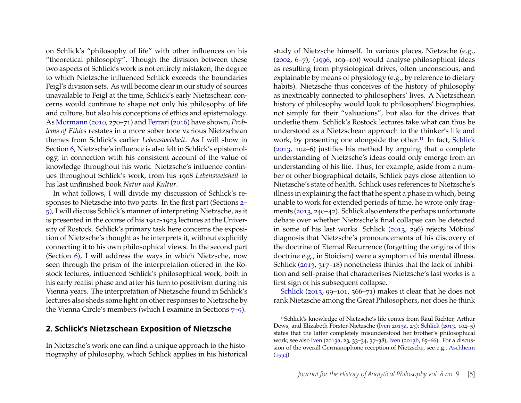on Schlick's "philosophy of life" with other influences on his "theoretical philosophy". Though the division between these two aspects of Schlick's work is not entirely mistaken, the degree to which Nietzsche influenced Schlick exceeds the boundaries Feigl's division sets. As will become clear in our study of sources unavailable to Feigl at the time, Schlick's early Nietzschean concerns would continue to shape not only his philosophy of life and culture, but also his conceptions of ethics and epistemology. As [Mormann](#page-27-5) [\(2010,](#page-27-5) 270–71) and [Ferrari](#page-26-4) [\(2016\)](#page-26-4) have shown, *Problems of Ethics* restates in a more sober tone various Nietzschean themes from Schlick's earlier *Lebensweisheit*. As I will show in Section [6,](#page-12-0) Nietzsche's influence is also felt in Schlick's epistemology, in connection with his consistent account of the value of knowledge throughout his work. Nietzsche's influence continues throughout Schlick's work, from his 1908 *Lebensweisheit* to his last unfinished book *Natur und Kultur*.

In what follows, I will divide my discussion of Schlick's responses to Nietzsche into two parts. In the first part (Sections [2–](#page-5-0) [5\)](#page-10-0), I will discuss Schlick's manner of interpreting Nietzsche, as it is presented in the course of his 1912-1923 lectures at the University of Rostock. Schlick's primary task here concerns the exposition of Nietzsche's thought as he interprets it, without explicitly connecting it to his own philosophical views. In the second part (Section [6\)](#page-12-0), I will address the ways in which Nietzsche, now seen through the prism of the interpretation offered in the Rostock lectures, influenced Schlick's philosophical work, both in his early realist phase and after his turn to positivism during his Vienna years. The interpretation of Nietzsche found in Schlick's lectures also sheds some light on other responses to Nietzsche by the Vienna Circle's members (which I examine in Sections [7–](#page-15-0)[9\)](#page-19-0).

#### <span id="page-5-0"></span>**2. Schlick's Nietzschean Exposition of Nietzsche**

In Nietzsche's work one can find a unique approach to the historiography of philosophy, which Schlick applies in his historical

study of Nietzsche himself. In various places, Nietzsche (e.g., ( $2002, 6-7$ ); ( $1996, 109-10$ ) would analyse philosophical ideas as resulting from physiological drives, often unconscious, and explainable by means of physiology (e.g., by reference to dietary habits). Nietzsche thus conceives of the history of philosophy as inextricably connected to philosophers' lives. A Nietzschean history of philosophy would look to philosophers' biographies, not simply for their "valuations", but also for the drives that underlie them. Schlick's Rostock lectures take what can thus be understood as a Nietzschean approach to the thinker's life and work, by presenting one alongside the other.<sup>[11](#page-5-1)</sup> In fact, [Schlick](#page-28-1) [\(2013,](#page-28-1) 102–6) justifies his method by arguing that a complete understanding of Nietzsche's ideas could only emerge from an understanding of his life. Thus, for example, aside from a number of other biographical details, Schlick pays close attention to Nietzsche's state of health. Schlick uses references to Nietzsche's illness in explaining the fact that he spent a phase in which, being unable to work for extended periods of time, he wrote only fragments [\(2013,](#page-28-1) 240–42). Schlick also enters the perhaps unfortunate debate over whether Nietzsche's final collapse can be detected in some of his last works. Schlick [\(2013,](#page-28-1) 296) rejects Möbius' diagnosis that Nietzsche's pronouncements of his discovery of the doctrine of Eternal Recurrence (forgetting the origins of this doctrine e.g., in Stoicism) were a symptom of his mental illness. Schlick [\(2013,](#page-28-1) 317–18) nonetheless thinks that the lack of inhibition and self-praise that characterises Nietzsche's last works is a first sign of his subsequent collapse.

[Schlick](#page-28-1) [\(2013,](#page-28-1) 99–101, 366–71) makes it clear that he does not rank Nietzsche among the Great Philosophers, nor does he think

<span id="page-5-1"></span><sup>11</sup>Schlick's knowledge of Nietzsche's life comes from Raul Richter, Arthur Dews, and Elizabeth Förster-Nietzsche [\(Iven 2013a,](#page-26-2) 23); [Schlick](#page-28-1) [\(2013,](#page-28-1) 104–5) states that the latter completely misunderstood her brother's philosophical work; see also [Iven](#page-26-2) [\(2013a,](#page-26-2) 23, 33–34, 37–38), [Iven](#page-26-3) [\(2013b,](#page-26-3) 65–66). For a discussion of the overall Germanophone reception of Nietzsche, see e.g., [Aschheim](#page-25-7)  $(1994).$  $(1994).$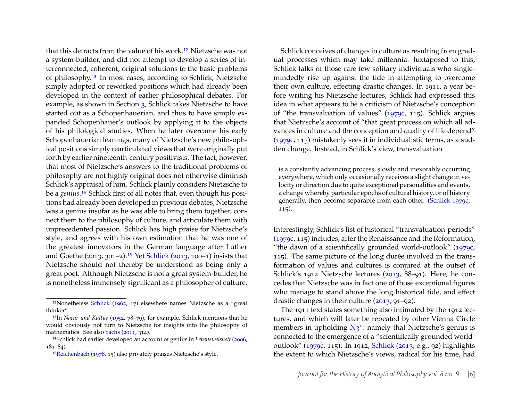that this detracts from the value of his work.[12](#page-6-0) Nietzsche was not a system-builder, and did not attempt to develop a series of interconnected, coherent, original solutions to the basic problems of philosophy.[13](#page-6-1) In most cases, according to Schlick, Nietzsche simply adopted or reworked positions which had already been developed in the context of earlier philosophical debates. For example, as shown in Section [3,](#page-7-0) Schlick takes Nietzsche to have started out as a Schopenhauerian, and thus to have simply expanded Schopenhauer's outlook by applying it to the objects of his philological studies. When he later overcame his early Schopenhauerian leanings, many of Nietzsche's new philosophical positions simply rearticulated views that were originally put forth by earlier nineteenth-century positivists. The fact, however, that most of Nietzsche's answers to the traditional problems of philosophy are not highly original does not otherwise diminish Schlick's appraisal of him. Schlick plainly considers Nietzsche to be a *genius*.[14](#page-6-2) Schlick first of all notes that, even though his positions had already been developed in previous debates, Nietzsche was a genius insofar as he was able to bring them together, connect them to the philosophy of culture, and articulate them with unprecedented passion. Schlick has high praise for Nietzsche's style, and agrees with his own estimation that he was one of the greatest innovators in the German language after Luther and Goethe [\(2013,](#page-28-1) 301–2).[15](#page-6-3) Yet [Schlick](#page-28-1) [\(2013,](#page-28-1) 100–1) insists that Nietzsche should not thereby be understood as being only a great poet. Although Nietzsche is not a great system-builder, he is nonetheless immensely significant as a philosopher of culture.

Schlick conceives of changes in culture as resulting from gradual processes which may take millennia. Juxtaposed to this, Schlick talks of those rare few solitary individuals who singlemindedly rise up against the tide in attempting to overcome their own culture, effecting drastic changes. In 1911, a year before writing his Nietzsche lectures, Schlick had expressed this idea in what appears to be a criticism of Nietzsche's conception of "the transvaluation of values" [\(1979c,](#page-28-10) 115). Schlick argues that Nietzsche's account of "that great process on which all advances in culture and the conception and quality of life depend" [\(1979c,](#page-28-10) 115) mistakenly sees it in individualistic terms, as a sudden change. Instead, in Schlick's view, transvaluation

is a constantly advancing process, slowly and inexorably occurring everywhere, which only occasionally receives a slight change in velocity or direction due to quite exceptional personalities and events, a change whereby particular epochs of cultural history, or of history generally, then become separable from each other. [\(Schlick 1979c,](#page-28-10) 115).

Interestingly, Schlick's list of historical "transvaluation-periods" [\(1979c,](#page-28-10) 115) includes, after the Renaissance and the Reformation, "the dawn of a scientifically grounded world-outlook" [\(1979c,](#page-28-10) 115). The same picture of the long durée involved in the transformation of values and cultures is conjured at the outset of Schlick's 1912 Nietzsche lectures [\(2013,](#page-28-1) 88–91). Here, he concedes that Nietzsche was in fact one of those exceptional figures who manage to stand above the long historical tide, and effect drastic changes in their culture [\(2013,](#page-28-1) 91–92).

The 1911 text states something also intimated by the 1912 lectures, and which will later be repeated by other Vienna Circle members in upholding  $N_3^*$ : namely that Nietzsche's genius is connected to the emergence of a "scientifically grounded worldoutlook" [\(1979c,](#page-28-10) 115). In 1912, [Schlick](#page-28-1) [\(2013,](#page-28-1) e.g., 92) highlights the extent to which Nietzsche's views, radical for his time, had

<span id="page-6-0"></span><sup>12</sup>Nonetheless [Schlick](#page-28-8) [\(1962,](#page-28-8) 17) elsewhere names Nietzsche as a "great thinker".

<span id="page-6-1"></span><sup>13</sup>In *Natur und Kultur* [\(1952,](#page-28-2) 78–79), for example, Schlick mentions that he would obviously not turn to Nietzsche for insights into the philosophy of mathematics. See also [Sachs](#page-28-0) [\(2011,](#page-28-0) 314).

<span id="page-6-2"></span><sup>14</sup>Schlick had earlier developed an account of genius in *Lebensweisheit* [\(2006,](#page-28-9) 181–84).

<span id="page-6-3"></span><sup>15</sup>[Reichenbach](#page-27-12) [\(1978,](#page-27-12) 15) also privately praises Nietzsche's style.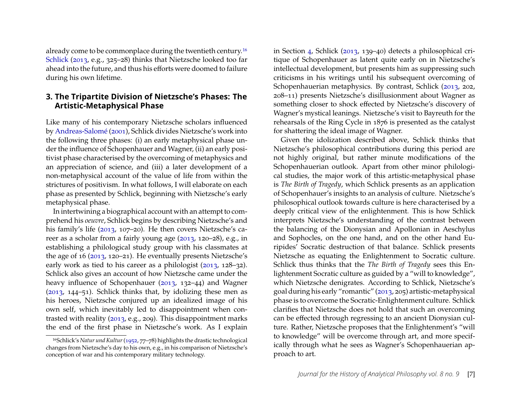already come to be commonplace during the twentieth century.[16](#page-7-1) [Schlick](#page-28-1) [\(2013,](#page-28-1) e.g., 325–28) thinks that Nietzsche looked too far ahead into the future, and thus his efforts were doomed to failure during his own lifetime.

#### <span id="page-7-0"></span>**3. The Tripartite Division of Nietzsche's Phases: The Artistic-Metaphysical Phase**

Like many of his contemporary Nietzsche scholars influenced by [Andreas-Salomé](#page-25-8) [\(2001\)](#page-25-8), Schlick divides Nietzsche's work into the following three phases: (i) an early metaphysical phase under the influence of Schopenhauer and Wagner, (ii) an early positivist phase characterised by the overcoming of metaphysics and an appreciation of science, and (iii) a later development of a non-metaphysical account of the value of life from within the strictures of positivism. In what follows, I will elaborate on each phase as presented by Schlick, beginning with Nietzsche's early metaphysical phase.

In intertwining a biographical account with an attempt to comprehend his *oeuvre*, Schlick begins by describing Nietzsche's and his family's life [\(2013,](#page-28-1) 107–20). He then covers Nietzsche's career as a scholar from a fairly young age [\(2013,](#page-28-1) 120–28), e.g., in establishing a philological study group with his classmates at the age of 16 [\(2013,](#page-28-1) 120–21). He eventually presents Nietzsche's early work as tied to his career as a philologist [\(2013,](#page-28-1) 128–32). Schlick also gives an account of how Nietzsche came under the heavy influence of Schopenhauer [\(2013,](#page-28-1) 132–44) and Wagner [\(2013,](#page-28-1) 144–51). Schlick thinks that, by idolizing these men as his heroes, Nietzsche conjured up an idealized image of his own self, which inevitably led to disappointment when contrasted with reality [\(2013,](#page-28-1) e.g., 209). This disappointment marks the end of the first phase in Nietzsche's work. As I explain

in Section [4,](#page-8-0) Schlick [\(2013,](#page-28-1) 139–40) detects a philosophical critique of Schopenhauer as latent quite early on in Nietzsche's intellectual development, but presents him as suppressing such criticisms in his writings until his subsequent overcoming of Schopenhauerian metaphysics. By contrast, Schlick [\(2013,](#page-28-1) 202, 208–11) presents Nietzsche's disillusionment about Wagner as something closer to shock effected by Nietzsche's discovery of Wagner's mystical leanings. Nietzsche's visit to Bayreuth for the rehearsals of the Ring Cycle in 1876 is presented as the catalyst for shattering the ideal image of Wagner.

Given the idolization described above, Schlick thinks that Nietzsche's philosophical contributions during this period are not highly original, but rather minute modifications of the Schopenhauerian outlook. Apart from other minor philological studies, the major work of this artistic-metaphysical phase is *The Birth of Tragedy*, which Schlick presents as an application of Schopenhauer's insights to an analysis of culture. Nietzsche's philosophical outlook towards culture is here characterised by a deeply critical view of the enlightenment. This is how Schlick interprets Nietzsche's understanding of the contrast between the balancing of the Dionysian and Apollonian in Aeschylus and Sophocles, on the one hand, and on the other hand Euripides' Socratic destruction of that balance. Schlick presents Nietzsche as equating the Enlightenment to Socratic culture. Schlick thus thinks that the *The Birth of Tragedy* sees this Enlightenment Socratic culture as guided by a "will to knowledge", which Nietzsche denigrates. According to Schlick, Nietzsche's goal during his early "romantic" [\(2013,](#page-28-1) 205) artistic-metaphysical phase is to overcome the Socratic-Enlightenment culture. Schlick clarifies that Nietzsche does not hold that such an overcoming can be effected through regressing to an ancient Dionysian culture. Rather, Nietzsche proposes that the Enlightenment's "will to knowledge" will be overcome through art, and more specifically through what he sees as Wagner's Schopenhauerian approach to art.

<span id="page-7-1"></span><sup>16</sup>Schlick's *Natur und Kultur*[\(1952,](#page-28-2) 77–78) highlights the drastic technological changes from Nietzsche's day to his own, e.g., in his comparison of Nietzsche's conception of war and his contemporary military technology.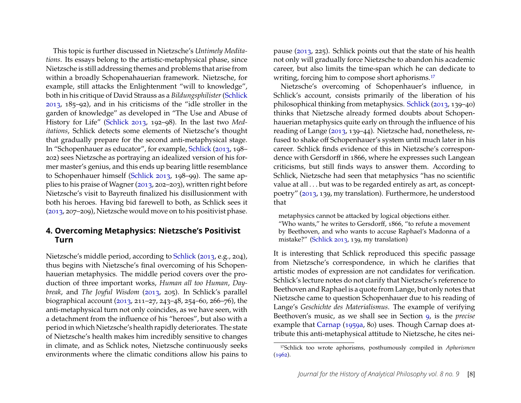This topic is further discussed in Nietzsche's *Untimely Meditations*. Its essays belong to the artistic-metaphysical phase, since Nietzsche is still addressing themes and problems that arise from within a broadly Schopenahauerian framework. Nietzsche, for example, still attacks the Enlightenment "will to knowledge", both in his critique of David Strauss as a *Bildungsphilister*[\(Schlick](#page-28-1) [2013,](#page-28-1) 185–92), and in his criticisms of the "idle stroller in the garden of knowledge" as developed in "The Use and Abuse of History for Life" [\(Schlick 2013,](#page-28-1) 192–98). In the last two *Meditations*, Schlick detects some elements of Nietzsche's thought that gradually prepare for the second anti-metaphysical stage. In "Schopenhauer as educator", for example, [Schlick](#page-28-1) [\(2013,](#page-28-1) 198– 202) sees Nietzsche as portraying an idealized version of his former master's genius, and this ends up bearing little resemblance to Schopenhauer himself [\(Schlick 2013,](#page-28-1) 198–99). The same applies to his praise of Wagner [\(2013,](#page-28-1) 202–203), written right before Nietzsche's visit to Bayreuth finalized his disillusionment with both his heroes. Having bid farewell to both, as Schlick sees it [\(2013,](#page-28-1) 207–209), Nietzsche would move on to his positivist phase.

#### <span id="page-8-0"></span>**4. Overcoming Metaphysics: Nietzsche's Positivist Turn**

Nietzsche's middle period, according to [Schlick](#page-28-1) [\(2013,](#page-28-1) e.g., 204), thus begins with Nietzsche's final overcoming of his Schopenhauerian metaphysics. The middle period covers over the production of three important works, *Human all too Human*, *Daybreak*, and *The Joyful Wisdom* [\(2013,](#page-28-1) 205). In Schlick's parallel biographical account [\(2013,](#page-28-1) 211–27, 243–48, 254–60, 266–76), the anti-metaphysical turn not only coincides, as we have seen, with a detachment from the influence of his "heroes", but also with a period in which Nietzsche's health rapidly deteriorates. The state of Nietzsche's health makes him incredibly sensitive to changes in climate, and as Schlick notes, Nietzsche continuously seeks environments where the climatic conditions allow his pains to pause [\(2013,](#page-28-1) 225). Schlick points out that the state of his health not only will gradually force Nietzsche to abandon his academic career, but also limits the time-span which he can dedicate to writing, forcing him to compose short aphorisms.<sup>[17](#page-8-1)</sup>

Nietzsche's overcoming of Schopenhauer's influence, in Schlick's account, consists primarily of the liberation of his philosophical thinking from metaphysics. [Schlick](#page-28-1) [\(2013,](#page-28-1) 139–40) thinks that Nietzsche already formed doubts about Schopenhauerian metaphysics quite early on through the influence of his reading of Lange [\(2013,](#page-28-1) 139–44). Nietzsche had, nonetheless, refused to shake off Schopenhauer's system until much later in his career. Schlick finds evidence of this in Nietzsche's correspondence with Gersdorff in 1866, where he expresses such Langean criticisms, but still finds ways to answer them. According to Schlick, Nietzsche had seen that metaphysics "has no scientific value at all . . . but was to be regarded entirely as art, as conceptpoetry" [\(2013,](#page-28-1) 139, my translation). Furthermore, he understood that

metaphysics cannot be attacked by logical objections either.

"Who wants," he writes to Gersdorff, 1866, "to refute a movement by Beethoven, and who wants to accuse Raphael's Madonna of a mistake?" [\(Schlick 2013,](#page-28-1) 139, my translation)

It is interesting that Schlick reproduced this specific passage from Nietzsche's correspondence, in which he clarifies that artistic modes of expression are not candidates for verification. Schlick's lecture notes do not clarify that Nietzsche's reference to Beethoven and Raphael is a quote from Lange, but only notes that Nietzsche came to question Schopenhauer due to his reading of Lange's *Geschichte des Materialismus*. The example of verifying Beethoven's music, as we shall see in Section [9,](#page-19-0) is the *precise* example that [Carnap](#page-25-3) [\(1959a,](#page-25-3) 80) uses. Though Carnap does attribute this anti-metaphysical attitude to Nietzsche, he cites nei-

<span id="page-8-1"></span><sup>17</sup>Schlick too wrote aphorisms, posthumously compiled in *Aphorismen*  $(1962).$  $(1962).$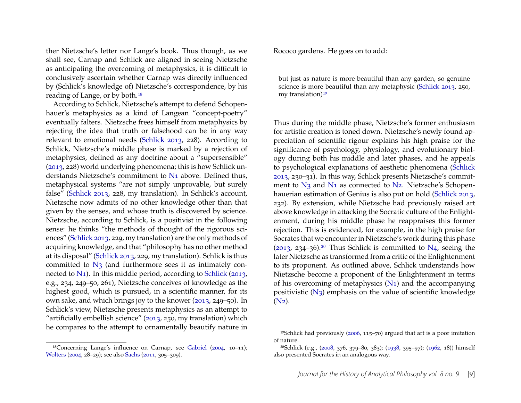ther Nietzsche's letter nor Lange's book. Thus though, as we shall see, Carnap and Schlick are aligned in seeing Nietzsche as anticipating the overcoming of metaphysics, it is difficult to conclusively ascertain whether Carnap was directly influenced by (Schlick's knowledge of) Nietzsche's correspondence, by his reading of Lange, or by both.[18](#page-9-0)

According to Schlick, Nietzsche's attempt to defend Schopenhauer's metaphysics as a kind of Langean "concept-poetry" eventually falters. Nietzsche frees himself from metaphysics by rejecting the idea that truth or falsehood can be in any way relevant to emotional needs [\(Schlick 2013,](#page-28-1) 228). According to Schlick, Nietzsche's middle phase is marked by a rejection of metaphysics, defined as any doctrine about a "supersensible" [\(2013,](#page-28-1) 228) world underlying phenomena; this is how Schlick understands Nietzsche's commitment to [N1](#page-0-0) above. Defined thus, metaphysical systems "are not simply unprovable, but surely false" [\(Schlick 2013,](#page-28-1) 228, my translation). In Schlick's account, Nietzsche now admits of no other knowledge other than that given by the senses, and whose truth is discovered by science. Nietzsche, according to Schlick, is a positivist in the following sense: he thinks "the methods of thought of the rigorous sciences" [\(Schlick 2013,](#page-28-1) 229, my translation) are the only methods of acquiring knowledge, and that "philosophy has no other method at its disposal" [\(Schlick 2013,](#page-28-1) 229, my translation). Schlick is thus committed to  $N_3$  (and furthermore sees it as intimately connected to  $N_1$ ). In this middle period, according to [Schlick](#page-28-1) [\(2013,](#page-28-1) e.g., 234, 249–50, 261), Nietzsche conceives of knowledge as the highest good, which is pursued, in a scientific manner, for its own sake, and which brings joy to the knower [\(2013,](#page-28-1) 249–50). In Schlick's view, Nietzsche presents metaphysics as an attempt to "artificially embellish science" [\(2013,](#page-28-1) 250, my translation) which he compares to the attempt to ornamentally beautify nature in Rococo gardens. He goes on to add:

but just as nature is more beautiful than any garden, so genuine science is more beautiful than any metaphysic [\(Schlick 2013,](#page-28-1) 250, my translation) $19$ 

Thus during the middle phase, Nietzsche's former enthusiasm for artistic creation is toned down. Nietzsche's newly found appreciation of scientific rigour explains his high praise for the significance of psychology, physiology, and evolutionary biology during both his middle and later phases, and he appeals to psychological explanations of aesthetic phenomena [\(Schlick](#page-28-1) [2013,](#page-28-1) 230–31). In this way, Schlick presents Nietzsche's commitment to N<sub>3</sub> and N<sub>1</sub> as connected to N<sub>2</sub>. Nietzsche's Schopenhauerian estimation of Genius is also put on hold [\(Schlick 2013,](#page-28-1) 232). By extension, while Nietzsche had previously raised art above knowledge in attacking the Socratic culture of the Enlightenment, during his middle phase he reappraises this former rejection. This is evidenced, for example, in the high praise for Socrates that we encounter in Nietzsche's work during this phase [\(2013,](#page-28-1) 234–36).<sup>[20](#page-9-2)</sup> Thus Schlick is committed to [N4,](#page-0-0) seeing the later Nietzsche as transformed from a critic of the Enlightenment to its proponent. As outlined above, Schlick understands how Nietzsche become a proponent of the Enlightenment in terms of his overcoming of metaphysics  $(N_1)$  and the accompanying positivistic [\(N3\)](#page-0-0) emphasis on the value of scientific knowledge  $(N_2)$ .

<span id="page-9-0"></span><sup>18</sup>Concerning Lange's influence on Carnap, see [Gabriel](#page-26-1) [\(2004,](#page-26-1) 10–11); [Wolters](#page-29-0) [\(2004,](#page-29-0) 28–29); see also [Sachs](#page-28-0) [\(2011,](#page-28-0) 305–309).

<span id="page-9-1"></span><sup>19</sup>Schlick had previously [\(2006,](#page-28-9) 115–70) argued that art is a poor imitation of nature.

<span id="page-9-2"></span><sup>20</sup>Schlick (e.g., [\(2008,](#page-28-11) 376, 379–80, 383); [\(1938,](#page-28-12) 395–97); [\(1962,](#page-28-8) 18)) himself also presented Socrates in an analogous way.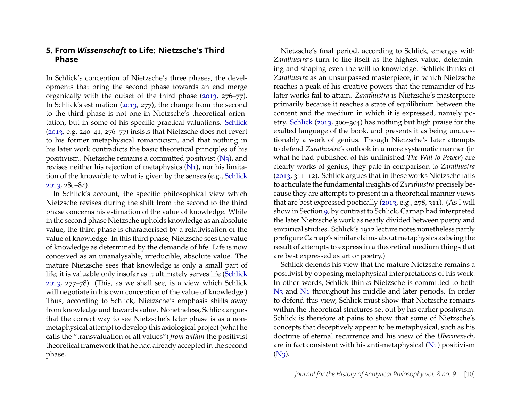#### <span id="page-10-0"></span>**5. From** *Wissenschaft* **to Life: Nietzsche's Third Phase**

In Schlick's conception of Nietzsche's three phases, the developments that bring the second phase towards an end merge organically with the outset of the third phase [\(2013,](#page-28-1) 276–77). In Schlick's estimation [\(2013,](#page-28-1) 277), the change from the second to the third phase is not one in Nietzsche's theoretical orientation, but in some of his specific practical valuations. [Schlick](#page-28-1) [\(2013,](#page-28-1) e.g, 240–41, 276–77) insists that Nietzsche does not revert to his former metaphysical romanticism, and that nothing in his later work contradicts the basic theoretical principles of his positivism. Nietzsche remains a committed positivist  $(N_3)$ , and revises neither his rejection of metaphysics [\(N1\)](#page-0-0), nor his limitation of the knowable to what is given by the senses (e.g., [Schlick](#page-28-1) [2013,](#page-28-1) 280–84).

In Schlick's account, the specific philosophical view which Nietzsche revises during the shift from the second to the third phase concerns his estimation of the value of knowledge. While in the second phase Nietzsche upholds knowledge as an absolute value, the third phase is characterised by a relativisation of the value of knowledge. In this third phase, Nietzsche sees the value of knowledge as determined by the demands of life. Life is now conceived as an unanalysable, irreducible, absolute value. The mature Nietzsche sees that knowledge is only a small part of life; it is valuable only insofar as it ultimately serves life [\(Schlick](#page-28-1) [2013,](#page-28-1) 277–78). (This, as we shall see, is a view which Schlick will negotiate in his own conception of the value of knowledge.) Thus, according to Schlick, Nietzsche's emphasis shifts away from knowledge and towards value. Nonetheless, Schlick argues that the correct way to see Nietzsche's later phase is as a nonmetaphysical attempt to develop this axiological project (what he calls the "transvaluation of all values") *from within* the positivist theoretical framework that he had already accepted in the second phase.

Nietzsche's final period, according to Schlick, emerges with *Zarathustra*'s turn to life itself as the highest value, determining and shaping even the will to knowledge. Schlick thinks of *Zarathustra* as an unsurpassed masterpiece, in which Nietzsche reaches a peak of his creative powers that the remainder of his later works fail to attain. *Zarathustra* is Nietzsche's masterpiece primarily because it reaches a state of equilibrium between the content and the medium in which it is expressed, namely poetry. [Schlick](#page-28-1) [\(2013,](#page-28-1) 300–304) has nothing but high praise for the exalted language of the book, and presents it as being unquestionably a work of genius. Though Nietzsche's later attempts to defend *Zarathustra's* outlook in a more systematic manner (in what he had published of his unfinished *The Will to Power*) are clearly works of genius, they pale in comparison to *Zarathustra* [\(2013,](#page-28-1) 311–12). Schlick argues that in these works Nietzsche fails to articulate the fundamental insights of *Zarathustra* precisely because they are attempts to present in a theoretical manner views that are best expressed poetically [\(2013,](#page-28-1) e.g., 278, 311). (As I will show in Section [9,](#page-19-0) by contrast to Schlick, Carnap had interpreted the later Nietzsche's work as neatly divided between poetry and empirical studies. Schlick's 1912 lecture notes nonetheless partly prefigure Carnap's similar claims about metaphysics as being the result of attempts to express in a theoretical medium things that are best expressed as art or poetry.)

Schlick defends his view that the mature Nietzsche remains a positivist by opposing metaphysical interpretations of his work. In other words, Schlick thinks Nietzsche is committed to both N<sub>3</sub> and N<sub>1</sub> throughout his middle and later periods. In order to defend this view, Schlick must show that Nietzsche remains within the theoretical strictures set out by his earlier positivism. Schlick is therefore at pains to show that some of Nietzsche's concepts that deceptively appear to be metaphysical, such as his doctrine of eternal recurrence and his view of the *Übermensch*, are in fact consistent with his anti-metaphysical [\(N1\)](#page-0-0) positivism  $(N_3)$ .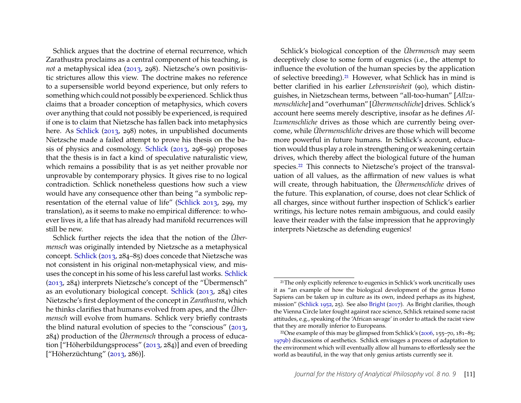Schlick argues that the doctrine of eternal recurrence, which Zarathustra proclaims as a central component of his teaching, is *not* a metaphysical idea [\(2013,](#page-28-1) 298). Nietzsche's own positivistic strictures allow this view. The doctrine makes no reference to a supersensible world beyond experience, but only refers to something which could not possibly be experienced. Schlick thus claims that a broader conception of metaphysics, which covers over anything that could not possibly be experienced, is required if one is to claim that Nietzsche has fallen back into metaphysics here. As [Schlick](#page-28-1) [\(2013,](#page-28-1) 298) notes, in unpublished documents Nietzsche made a failed attempt to prove his thesis on the basis of physics and cosmology. [Schlick](#page-28-1) [\(2013,](#page-28-1) 298–99) proposes that the thesis is in fact a kind of speculative naturalistic view, which remains a possibility that is as yet neither provable nor unprovable by contemporary physics. It gives rise to no logical contradiction. Schlick nonetheless questions how such a view would have any consequence other than being "a symbolic representation of the eternal value of life" [\(Schlick 2013,](#page-28-1) 299, my translation), as it seems to make no empirical difference: to whoever lives it, a life that has already had manifold recurrences will still be new.

Schlick further rejects the idea that the notion of the *Übermensch* was originally intended by Nietzsche as a metaphysical concept. [Schlick](#page-28-1) [\(2013,](#page-28-1) 284–85) does concede that Nietzsche was not consistent in his original non-metaphysical view, and misuses the concept in his some of his less careful last works. [Schlick](#page-28-1) [\(2013,](#page-28-1) 284) interprets Nietzsche's concept of the "Übermensch" as an evolutionary biological concept. [Schlick](#page-28-1) [\(2013,](#page-28-1) 284) cites Nietzsche's first deployment of the concept in *Zarathustra*, which he thinks clarifies that humans evolved from apes, and the *Übermensch* will evolve from humans. Schlick very briefly contrasts the blind natural evolution of species to the "conscious" [\(2013,](#page-28-1) 284) production of the *Übermensch* through a process of education ["Höherbildungsprocess" [\(2013,](#page-28-1) 284)] and even of breeding ["Höherzüchtung" [\(2013,](#page-28-1) 286)].

Schlick's biological conception of the *Übermensch* may seem deceptively close to some form of eugenics (i.e., the attempt to influence the evolution of the human species by the application of selective breeding).[21](#page-11-0) However, what Schlick has in mind is better clarified in his earlier *Lebensweisheit* (90), which distinguishes, in Nietzschean terms, between "all-too-human" [*Allzumenschliche*] and "overhuman" [*Übermenschliche*] drives. Schlick's account here seems merely descriptive, insofar as he defines *Allzumenschliche* drives as those which are currently being overcome, while *Übermenschliche* drives are those which will become more powerful in future humans. In Schlick's account, education would thus play a role in strengthening or weakening certain drives, which thereby affect the biological future of the human species.<sup>[22](#page-11-1)</sup> This connects to Nietzsche's project of the transvaluation of all values, as the affirmation of new values is what will create, through habituation, the *Übermenschliche* drives of the future. This explanation, of course, does not clear Schlick of all charges, since without further inspection of Schlick's earlier writings, his lecture notes remain ambiguous, and could easily leave their reader with the false impression that he approvingly interprets Nietzsche as defending eugenics!

<span id="page-11-0"></span><sup>&</sup>lt;sup>21</sup>The only explicitly reference to eugenics in Schlick's work uncritically uses it as "an example of how the biological development of the genus Homo Sapiens can be taken up in culture as its own, indeed perhaps as its highest, mission" [\(Schlick 1952,](#page-28-2) 25). See also [Bright](#page-25-9) [\(2017\)](#page-25-9). As Bright clarifies, though the Vienna Circle later fought against race science, Schlick retained some racist attitudes, e.g., speaking of the 'African savage' in order to attack the racist view that they are morally inferior to Europeans.

<span id="page-11-1"></span><sup>&</sup>lt;sup>22</sup>One example of this may be glimpsed from Schlick's [\(2006,](#page-28-9) 155–70, 181–85; [1979b\)](#page-28-13) discussions of aesthetics. Schlick envisages a process of adaptation to the environment which will eventually allow all humans to effortlessly see the world as beautiful, in the way that only genius artists currently see it.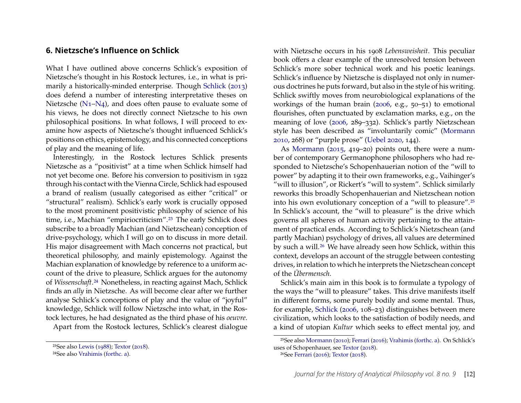#### <span id="page-12-0"></span>**6. Nietzsche's Influence on Schlick**

What I have outlined above concerns Schlick's exposition of Nietzsche's thought in his Rostock lectures, i.e., in what is primarily a historically-minded enterprise. Though [Schlick](#page-28-1) [\(2013\)](#page-28-1) does defend a number of interesting interpretative theses on Nietzsche [\(N1–N4\)](#page-0-0), and does often pause to evaluate some of his views, he does not directly connect Nietzsche to his own philosophical positions. In what follows, I will proceed to examine how aspects of Nietzsche's thought influenced Schlick's positions on ethics, epistemology, and his connected conceptions of play and the meaning of life.

Interestingly, in the Rostock lectures Schlick presents Nietzsche as a "positivist" at a time when Schlick himself had not yet become one. Before his conversion to positivism in 1922 through his contact with the Vienna Circle, Schlick had espoused a brand of realism (usually categorised as either "critical" or "structural" realism). Schlick's early work is crucially opposed to the most prominent positivistic philosophy of science of his time, i.e., Machian "empiriocriticism".<sup>[23](#page-12-1)</sup> The early Schlick does subscribe to a broadly Machian (and Nietzschean) conception of drive-psychology, which I will go on to discuss in more detail. His major disagreement with Mach concerns not practical, but theoretical philosophy, and mainly epistemology. Against the Machian explanation of knowledge by reference to a uniform account of the drive to pleasure, Schlick argues for the autonomy of *Wissenschaft*.[24](#page-12-2) Nonetheless, in reacting against Mach, Schlick finds an *ally* in Nietzsche. As will become clear after we further analyse Schlick's conceptions of play and the value of "joyful" knowledge, Schlick will follow Nietzsche into what, in the Rostock lectures, he had designated as the third phase of his *oeuvre*.

Apart from the Rostock lectures, Schlick's clearest dialogue

with Nietzsche occurs in his 1908 *Lebensweisheit*. This peculiar book offers a clear example of the unresolved tension between Schlick's more sober technical work and his poetic leanings. Schlick's influence by Nietzsche is displayed not only in numerous doctrines he puts forward, but also in the style of his writing. Schlick swiftly moves from neurobiological explanations of the workings of the human brain [\(2006,](#page-28-9) e.g., 50–51) to emotional flourishes, often punctuated by exclamation marks, e.g., on the meaning of love [\(2006,](#page-28-9) 289–332). Schlick's partly Nietzschean style has been described as "involuntarily comic" [\(Mormann](#page-27-5) [2010,](#page-27-5) 268) or "purple prose" [\(Uebel 2020,](#page-29-10) 144).

As [Mormann](#page-27-4) [\(2015,](#page-27-4) 419–20) points out, there were a number of contemporary Germanophone philosophers who had responded to Nietzsche's Schopenhauerian notion of the "will to power" by adapting it to their own frameworks, e.g., Vaihinger's "will to illusion", or Rickert's "will to system". Schlick similarly reworks this broadly Schopenhauerian and Nietzschean notion into his own evolutionary conception of a "will to pleasure".[25](#page-12-3) In Schlick's account, the "will to pleasure" is the drive which governs all spheres of human activity pertaining to the attainment of practical ends. According to Schlick's Nietzschean (and partly Machian) psychology of drives, all values are determined by such a will.<sup>[26](#page-12-4)</sup> We have already seen how Schlick, within this context, develops an account of the struggle between contesting drives, in relation to which he interprets the Nietzschean concept of the *Übermensch*.

Schlick's main aim in this book is to formulate a typology of the ways the "will to pleasure" takes. This drive manifests itself in different forms, some purely bodily and some mental. Thus, for example, [Schlick](#page-28-9) [\(2006,](#page-28-9) 108–23) distinguishes between mere civilization, which looks to the satisfaction of bodily needs, and a kind of utopian *Kultur* which seeks to effect mental joy, and

<span id="page-12-1"></span><sup>23</sup>See also [Lewis](#page-26-10) [\(1988\)](#page-26-10); [Textor](#page-28-14) [\(2018\)](#page-28-14).

<span id="page-12-2"></span><sup>24</sup>See also [Vrahimis](#page-29-8) [\(forthc. a\)](#page-29-8).

<span id="page-12-3"></span><sup>25</sup>See also [Mormann](#page-27-5) [\(2010\)](#page-27-5); [Ferrari](#page-26-4) [\(2016\)](#page-26-4); [Vrahimis](#page-29-8) [\(forthc. a\)](#page-29-8). On Schlick's uses of Schopenhauer, see [Textor](#page-28-14) [\(2018\)](#page-28-14).

<span id="page-12-4"></span><sup>26</sup>See [Ferrari](#page-26-4) [\(2016\)](#page-26-4); [Textor](#page-28-14) [\(2018\)](#page-28-14).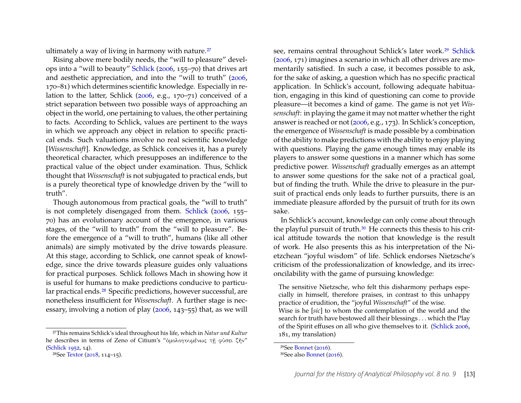ultimately a way of living in harmony with nature.<sup>[27](#page-13-0)</sup>

Rising above mere bodily needs, the "will to pleasure" develops into a "will to beauty" [Schlick](#page-28-9) [\(2006,](#page-28-9) 155–70) that drives art and aesthetic appreciation, and into the "will to truth" [\(2006,](#page-28-9) 170–81) which determines scientific knowledge. Especially in relation to the latter, Schlick [\(2006,](#page-28-9) e.g., 170–71) conceived of a strict separation between two possible ways of approaching an object in the world, one pertaining to values, the other pertaining to facts. According to Schlick, values are pertinent to the ways in which we approach any object in relation to specific practical ends. Such valuations involve no real scientific knowledge [*Wissenschaft*]. Knowledge, as Schlick conceives it, has a purely theoretical character, which presupposes an indifference to the practical value of the object under examination. Thus, Schlick thought that *Wissenschaft* is not subjugated to practical ends, but is a purely theoretical type of knowledge driven by the "will to truth".

Though autonomous from practical goals, the "will to truth" is not completely disengaged from them. [Schlick](#page-28-9) [\(2006,](#page-28-9) 155– 70) has an evolutionary account of the emergence, in various stages, of the "will to truth" from the "will to pleasure". Before the emergence of a "will to truth", humans (like all other animals) are simply motivated by the drive towards pleasure. At this stage, according to Schlick, one cannot speak of knowledge, since the drive towards pleasure guides only valuations for practical purposes. Schlick follows Mach in showing how it is useful for humans to make predictions conducive to particu-lar practical ends.<sup>[28](#page-13-1)</sup> Specific predictions, however successful, are nonetheless insufficient for *Wissenschaft*. A further stage is necessary, involving a notion of play [\(2006,](#page-28-9) 143–55) that, as we will

<span id="page-13-0"></span>27This remains Schlick's ideal throughout his life, which in *Natur und Kultur* he describes in terms of Zeno of Citium's "ὁμολογουμένως τῇ φύσει ζῆν" [\(Schlick 1952,](#page-28-2) 14).

see, remains central throughout Schlick's later work.<sup>[29](#page-13-2)</sup> [Schlick](#page-28-9) [\(2006,](#page-28-9) 171) imagines a scenario in which all other drives are momentarily satisfied. In such a case, it becomes possible to ask, for the sake of asking, a question which has no specific practical application. In Schlick's account, following adequate habituation, engaging in this kind of questioning can come to provide pleasure—it becomes a kind of game. The game is not yet *Wissenschaft*: in playing the game it may not matter whether the right answer is reached or not [\(2006,](#page-28-9) e.g., 173). In Schlick's conception, the emergence of *Wissenschaft* is made possible by a combination of the ability to make predictions with the ability to enjoy playing with questions. Playing the game enough times may enable its players to answer some questions in a manner which has some predictive power. *Wissenschaft* gradually emerges as an attempt to answer some questions for the sake not of a practical goal, but of finding the truth. While the drive to pleasure in the pursuit of practical ends only leads to further pursuits, there is an immediate pleasure afforded by the pursuit of truth for its own sake.

In Schlick's account, knowledge can only come about through the playful pursuit of truth.<sup>[30](#page-13-3)</sup> He connects this thesis to his critical attitude towards the notion that knowledge is the result of work. He also presents this as his interpretation of the Nietzchean "joyful wisdom" of life. Schlick endorses Nietzsche's criticism of the professionalization of knowledge, and its irreconcilability with the game of pursuing knowledge:

The sensitive Nietzsche, who felt this disharmony perhaps especially in himself, therefore praises, in contrast to this unhappy practice of erudition, the "joyful *Wissenschaft*" of the wise. Wise is he [*sic*] to whom the contemplation of the world and the search for truth have bestowed all their blessings . . . which the Play of the Spirit effuses on all who give themselves to it. [\(Schlick 2006,](#page-28-9) 181, my translation)

<span id="page-13-1"></span><sup>28</sup>See [Textor](#page-28-14) [\(2018,](#page-28-14) 114–15).

<span id="page-13-3"></span><span id="page-13-2"></span><sup>29</sup>See [Bonnet](#page-25-10) [\(2016\)](#page-25-10). 30See also [Bonnet](#page-25-10) [\(2016\)](#page-25-10).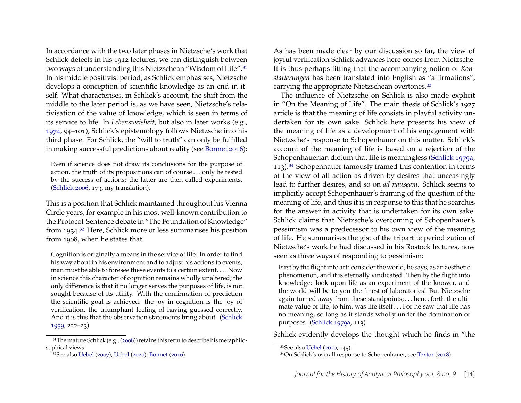In accordance with the two later phases in Nietzsche's work that Schlick detects in his 1912 lectures, we can distinguish between two ways of understanding this Nietzschean "Wisdom of Life".[31](#page-14-0) In his middle positivist period, as Schlick emphasises, Nietzsche develops a conception of scientific knowledge as an end in itself. What characterises, in Schlick's account, the shift from the middle to the later period is, as we have seen, Nietzsche's relativisation of the value of knowledge, which is seen in terms of its service to life. In *Lebensweisheit*, but also in later works (e.g., [1974,](#page-28-15) 94–101), Schlick's epistemology follows Nietzsche into his third phase. For Schlick, the "will to truth" can only be fulfilled in making successful predictions about reality (see [Bonnet 2016\)](#page-25-10):

Even if science does not draw its conclusions for the purpose of action, the truth of its propositions can of course . . . only be tested by the success of actions; the latter are then called experiments. [\(Schlick 2006,](#page-28-9) 173, my translation).

This is a position that Schlick maintained throughout his Vienna Circle years, for example in his most well-known contribution to the Protocol-Sentence debate in "The Foundation of Knowledge" from 1934.[32](#page-14-1) Here, Schlick more or less summarises his position from 1908, when he states that

Cognition is originally a means in the service of life. In order to find his way about in his environment and to adjust his actions to events, man must be able to foresee these events to a certain extent. . . . Now in science this character of cognition remains wholly unaltered; the only difference is that it no longer serves the purposes of life, is not sought because of its utility. With the confirmation of prediction the scientific goal is achieved: the joy in cognition is the joy of verification, the triumphant feeling of having guessed correctly. And it is this that the observation statements bring about. [\(Schlick](#page-28-16) [1959,](#page-28-16) 222–23)

As has been made clear by our discussion so far, the view of joyful verification Schlick advances here comes from Nietzsche. It is thus perhaps fitting that the accompanying notion of *Konstatierungen* has been translated into English as "affirmations", carrying the appropriate Nietzschean overtones.[33](#page-14-2)

The influence of Nietzsche on Schlick is also made explicit in "On the Meaning of Life". The main thesis of Schlick's 1927 article is that the meaning of life consists in playful activity undertaken for its own sake. Schlick here presents his view of the meaning of life as a development of his engagement with Nietzsche's response to Schopenhauer on this matter. Schlick's account of the meaning of life is based on a rejection of the Schopenhauerian dictum that life is meaningless [\(Schlick 1979a,](#page-28-17) 113).<sup>[34](#page-14-3)</sup> Schopenhauer famously framed this contention in terms of the view of all action as driven by desires that unceasingly lead to further desires, and so on *ad nauseam*. Schlick seems to implicitly accept Schopenhauer's framing of the question of the meaning of life, and thus it is in response to this that he searches for the answer in activity that is undertaken for its own sake. Schlick claims that Nietzsche's overcoming of Schopenhauer's pessimism was a predecessor to his own view of the meaning of life. He summarises the gist of the tripartite periodization of Nietzsche's work he had discussed in his Rostock lectures, now seen as three ways of responding to pessimism:

First by the flight into art: consider the world, he says, as an aesthetic phenomenon, and it is eternally vindicated! Then by the flight into knowledge: look upon life as an experiment of the knower, and the world will be to you the finest of laboratories! But Nietzsche again turned away from these standpoints; . . . henceforth the ultimate value of life, to him, was life itself . . . For he saw that life has no meaning, so long as it stands wholly under the domination of purposes. [\(Schlick 1979a,](#page-28-17) 113)

Schlick evidently develops the thought which he finds in "the

<span id="page-14-0"></span><sup>31</sup>The mature Schlick (e.g., [\(2008\)](#page-28-11)) retains this term to describe his metaphilosophical views.

<span id="page-14-1"></span><sup>32</sup>See also [Uebel](#page-29-2) [\(2007\)](#page-29-2); [Uebel](#page-29-10) [\(2020\)](#page-29-10); [Bonnet](#page-25-10) [\(2016\)](#page-25-10).

<span id="page-14-2"></span><sup>33</sup>See also [Uebel](#page-29-10) [\(2020,](#page-29-10) 145).

<span id="page-14-3"></span><sup>34</sup>On Schlick's overall response to Schopenhauer, see [Textor](#page-28-14) [\(2018\)](#page-28-14).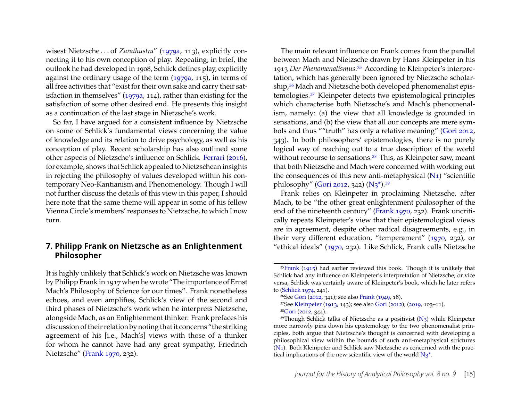wisest Nietzsche . . . of *Zarathustra*" [\(1979a,](#page-28-17) 113), explicitly connecting it to his own conception of play. Repeating, in brief, the outlook he had developed in 1908, Schlick defines play, explicitly against the ordinary usage of the term [\(1979a,](#page-28-17) 115), in terms of all free activities that "exist for their own sake and carry their satisfaction in themselves" [\(1979a,](#page-28-17) 114), rather than existing for the satisfaction of some other desired end. He presents this insight as a continuation of the last stage in Nietzsche's work.

So far, I have argued for a consistent influence by Nietzsche on some of Schlick's fundamental views concerning the value of knowledge and its relation to drive psychology, as well as his conception of play. Recent scholarship has also outlined some other aspects of Nietzsche's influence on Schlick. [Ferrari](#page-26-4) [\(2016\)](#page-26-4), for example, shows that Schlick appealed to Nietzschean insights in rejecting the philosophy of values developed within his contemporary Neo-Kantianism and Phenomenology. Though I will not further discuss the details of this view in this paper, I should here note that the same theme will appear in some of his fellow Vienna Circle's members' responses to Nietzsche, to which I now turn.

#### <span id="page-15-0"></span>**7. Philipp Frank on Nietzsche as an Enlightenment Philosopher**

It is highly unlikely that Schlick's work on Nietzsche was known by Philipp Frank in 1917 when he wrote "The importance of Ernst Mach's Philosophy of Science for our times". Frank nonetheless echoes, and even amplifies, Schlick's view of the second and third phases of Nietzsche's work when he interprets Nietzsche, alongside Mach, as an Enlightenment thinker. Frank prefaces his discussion of their relation by noting that it concerns "the striking agreement of his [i.e., Mach's] views with those of a thinker for whom he cannot have had any great sympathy, Friedrich Nietzsche" [\(Frank 1970,](#page-26-6) 232).

The main relevant influence on Frank comes from the parallel between Mach and Nietzsche drawn by Hans Kleinpeter in his 1913 *Der Phenomenalismus*.[35](#page-15-1) According to Kleinpeter's interpretation, which has generally been ignored by Nietzsche scholar-ship,<sup>[36](#page-15-2)</sup> Mach and Nietzsche both developed phenomenalist epistemologies.[37](#page-15-3) Kleinpeter detects two epistemological principles which characterise both Nietzsche's and Mach's phenomenalism, namely: (a) the view that all knowledge is grounded in sensations, and (b) the view that all our concepts are mere symbols and thus ""truth" has only a relative meaning" [\(Gori 2012,](#page-26-11) 343). In both philosophers' epistemologies, there is no purely logical way of reaching out to a true description of the world without recourse to sensations.<sup>[38](#page-15-4)</sup> This, as Kleinpeter saw, meant that both Nietzsche and Mach were concerned with working out the consequences of this new anti-metaphysical [\(N1\)](#page-0-0) "scientific philosophy" [\(Gori 2012,](#page-26-11) 342) [\(N3\\*\)](#page-0-0).[39](#page-15-5)

Frank relies on Kleinpeter in proclaiming Nietzsche, after Mach, to be "the other great enlightenment philosopher of the end of the nineteenth century" [\(Frank 1970,](#page-26-6) 232). Frank uncritically repeats Kleinpeter's view that their epistemological views are in agreement, despite other radical disagreements, e.g., in their very different education, "temperament" [\(1970,](#page-26-6) 232), or "ethical ideals" [\(1970,](#page-26-6) 232). Like Schlick, Frank calls Nietzsche

<span id="page-15-1"></span><sup>35</sup>[Frank](#page-26-12) [\(1915\)](#page-26-12) had earlier reviewed this book. Though it is unlikely that Schlick had any influence on Kleinpeter's interpretation of Nietzsche, or vice versa, Schlick was certainly aware of Kleinpeter's book, which he later refers to [\(Schlick 1974,](#page-28-15) 241).

<span id="page-15-2"></span><sup>36</sup>See [Gori](#page-26-11) [\(2012,](#page-26-11) 341); see also [Frank](#page-26-13) [\(1949,](#page-26-13) 18).

<span id="page-15-4"></span><span id="page-15-3"></span><sup>37</sup>See [Kleinpeter](#page-26-14) [\(1913,](#page-26-14) 143); see also [Gori](#page-26-11) [\(2012\)](#page-26-11); [\(2019,](#page-26-15) 103–11). 38[Gori](#page-26-11) [\(2012,](#page-26-11) 344).

<span id="page-15-5"></span><sup>&</sup>lt;sup>39</sup>Though Schlick talks of Nietzsche as a positivist  $(N_3)$  while Kleinpeter more narrowly pins down his epistemology to the two phenomenalist principles, both argue that Nietzsche's thought is concerned with developing a philosophical view within the bounds of such anti-metaphysical strictures [\(N1\)](#page-0-0). Both Kleinpeter and Schlick saw Nietzsche as concerned with the practical implications of the new scientific view of the world  $N_3^*$ .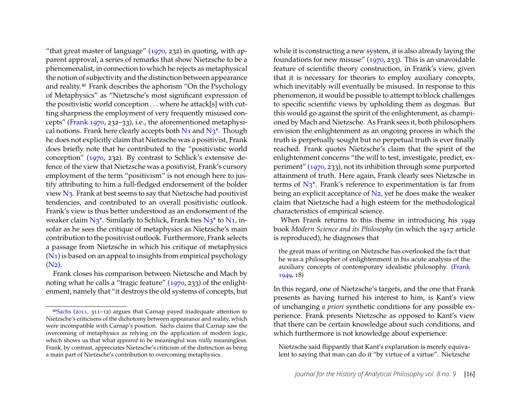"that great master of language"  $(1970, 232)$  in quoting, with apparent approval, a series of remarks that show Nietzsche to be a phenomenalist, in connection to which he rejects as metaphysical the notion of subjectivity and the distinction between appearance and reality.[40](#page-16-0) Frank describes the aphorism "On the Psychology of Metaphysics" as "Nietzsche's most significant expression of the positivistic world conception . . . where he attack[s] with cutting sharpness the employment of very frequently misused concepts" [\(Frank 1970,](#page-26-6) 232–33), i.e., the aforementioned metaphysical notions. Frank here clearly accepts both  $N_1$  and  $N_3^*$ . Though he does not explicitly claim that Nietzsche was a positivist, Frank does briefly note that he contributed to the "positivistic world conception" [\(1970,](#page-26-6) 232). By contrast to Schlick's extensive defence of the view that Nietzsche was a positivist, Frank's cursory employment of the term "positivism" is not enough here to justify attributing to him a full-fledged endorsement of the bolder view [N3.](#page-0-0) Frank at best seems to say that Nietzsche had positivist tendencies, and contributed to an overall positivistic outlook. Frank's view is thus better understood as an endorsement of the weaker claim  $N_3^*$ . Similarly to Schlick, Frank ties  $N_3^*$  to  $N_1$ , insofar as he sees the critique of metaphysics as Nietzsche's main contribution to the positivist outlook. Furthermore, Frank selects a passage from Nietzsche in which his critique of metaphysics  $(N_1)$  is based on an appeal to insights from empirical psychology [\(N2\)](#page-0-0).

Frank closes his comparison between Nietzsche and Mach by noting what he calls a "tragic feature" [\(1970,](#page-26-6) 233) of the enlightenment, namely that "it destroys the old systems of concepts, but while it is constructing a new system, it is also already laying the foundations for new misuse" [\(1970,](#page-26-6) 233). This is an unavoidable feature of scientific theory construction, in Frank's view, given that it is necessary for theories to employ auxiliary concepts, which inevitably will eventually be misused. In response to this phenomenon, it would be possible to attempt to block challenges to specific scientific views by upholding them as dogmas. But this would go against the spirit of the enlightenment, as championed by Mach and Nietzsche. As Frank sees it, both philosophers envision the enlightenment as an ongoing process in which the truth is perpetually sought but no perpetual truth is ever finally reached. Frank quotes Nietzsche's claim that the spirit of the enlightenment concerns "the will to test, investigate, predict, experiment" [\(1970,](#page-26-6) 233), not its inhibition through some purported attainment of truth. Here again, Frank clearly sees Nietzsche in terms of  $N_3^*$ . Frank's reference to experimentation is far from being an explicit acceptance of  $N_2$ , yet he does make the weaker claim that Nietzsche had a high esteem for the methodological characteristics of empirical science.

When Frank returns to this theme in introducing his 1949 book *Modern Science and its Philosophy* (in which the 1917 article is reproduced), he diagnoses that

the great mass of writing on Nietzsche has overlooked the fact that he was a philosopher of enlightenment in his acute analysis of the auxiliary concepts of contemporary idealistic philosophy. [\(Frank](#page-26-13) [1949,](#page-26-13) 18)

In this regard, one of Nietzsche's targets, and the one that Frank presents as having turned his interest to him, is Kant's view of unchanging *a priori* synthetic conditions for any possible experience. Frank presents Nietzsche as opposed to Kant's view that there can be certain knowledge about such conditions, and which furthermore is not knowledge about experience:

Nietzsche said flippantly that Kant's explanation is merely equivalent to saying that man can do it "by virtue of a virtue". Nietzsche

<span id="page-16-0"></span><sup>40</sup>[Sachs](#page-28-0) [\(2011,](#page-28-0) 311–12) argues that Carnap payed inadequate attention to Nietzsche's criticisms of the dichotomy between appearance and reality, which were incompatible with Carnap's position. Sachs claims that Carnap saw the overcoming of metaphysics as relying on the application of modern logic, which shows us that what *appeared* to be meaningful was *really* meaningless. Frank, by contrast, appreciates Nietzsche's criticism of the distinction as being a main part of Nietzsche's contribution to overcoming metaphysics.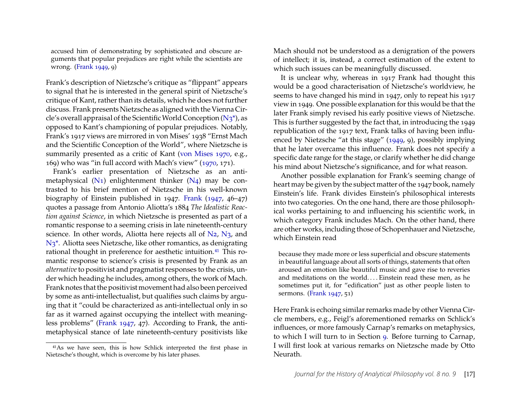accused him of demonstrating by sophisticated and obscure arguments that popular prejudices are right while the scientists are wrong. [\(Frank 1949,](#page-26-13) 9)

Frank's description of Nietzsche's critique as "flippant" appears to signal that he is interested in the general spirit of Nietzsche's critique of Kant, rather than its details, which he does not further discuss. Frank presents Nietzsche as aligned with the Vienna Circle's overall appraisal of the Scientific World Conception  $(N_3^*)$ , as opposed to Kant's championing of popular prejudices. Notably, Frank's 1917 views are mirrored in von Mises' 1938 "Ernst Mach and the Scientific Conception of the World", where Nietzsche is summarily presented as a critic of Kant [\(von Mises 1970,](#page-29-11) e.g., 169) who was "in full accord with Mach's view" [\(1970,](#page-29-11) 171).

Frank's earlier presentation of Nietzsche as an antimetaphysical  $(N_1)$  enlightenment thinker  $(N_4)$  may be contrasted to his brief mention of Nietzsche in his well-known biography of Einstein published in 1947. [Frank](#page-26-16) [\(1947,](#page-26-16) 46–47) quotes a passage from Antonio Aliotta's 1884 *The Idealistic Reaction against Science*, in which Nietzsche is presented as part of a romantic response to a seeming crisis in late nineteenth-century science. In other words, Aliotta here rejects all of  $N_2$ ,  $N_3$ , and [N3\\*.](#page-0-0) Aliotta sees Nietzsche, like other romantics, as denigrating rational thought in preference for aesthetic intuition.[41](#page-17-0) This romantic response to science's crisis is presented by Frank as an *alternative*to positivist and pragmatist responses to the crisis, under which heading he includes, among others, the work of Mach. Frank notes that the positivist movement had also been perceived by some as anti-intellectualist, but qualifies such claims by arguing that it "could be characterized as anti-intellectual only in so far as it warned against occupying the intellect with meaningless problems" [\(Frank 1947,](#page-26-16) 47). According to Frank, the antimetaphysical stance of late nineteenth-century positivists like

<span id="page-17-0"></span>41As we have seen, this is how Schlick interpreted the first phase in Nietzsche's thought, which is overcome by his later phases.

Mach should not be understood as a denigration of the powers of intellect; it is, instead, a correct estimation of the extent to which such issues can be meaningfully discussed.

It is unclear why, whereas in 1917 Frank had thought this would be a good characterisation of Nietzsche's worldview, he seems to have changed his mind in 1947, only to repeat his 1917 view in 1949. One possible explanation for this would be that the later Frank simply revised his early positive views of Nietzsche. This is further suggested by the fact that, in introducing the 1949 republication of the 1917 text, Frank talks of having been influenced by Nietzsche "at this stage" [\(1949,](#page-26-13) 9), possibly implying that he later overcame this influence. Frank does not specify a specific date range for the stage, or clarify whether he did change his mind about Nietzsche's significance, and for what reason.

Another possible explanation for Frank's seeming change of heart may be given by the subject matter of the 1947 book, namely Einstein's life. Frank divides Einstein's philosophical interests into two categories. On the one hand, there are those philosophical works pertaining to and influencing his scientific work, in which category Frank includes Mach. On the other hand, there are other works, including those of Schopenhauer and Nietzsche, which Einstein read

because they made more or less superficial and obscure statements in beautiful language about all sorts of things, statements that often aroused an emotion like beautiful music and gave rise to reveries and meditations on the world.... Einstein read these men, as he sometimes put it, for "edification" just as other people listen to sermons. [\(Frank 1947,](#page-26-16) 51)

Here Frank is echoing similar remarks made by other Vienna Circle members, e.g., Feigl's aforementioned remarks on Schlick's influences, or more famously Carnap's remarks on metaphysics, to which I will turn to in Section [9.](#page-19-0) Before turning to Carnap, I will first look at various remarks on Nietzsche made by Otto Neurath.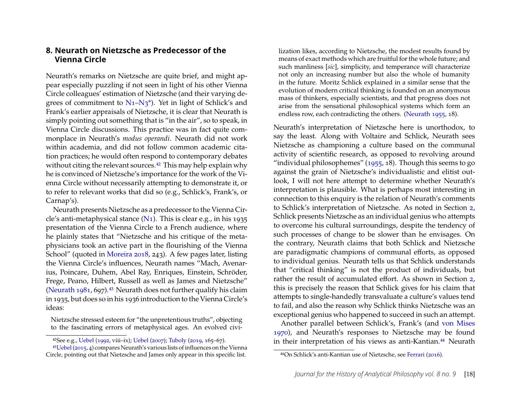#### <span id="page-18-0"></span>**8. Neurath on Nietzsche as Predecessor of the Vienna Circle**

Neurath's remarks on Nietzsche are quite brief, and might appear especially puzzling if not seen in light of his other Vienna Circle colleagues' estimation of Nietzsche (and their varying degrees of commitment to  $N_1-N_3^*$ . Yet in light of Schlick's and Frank's earlier appraisals of Nietzsche, it is clear that Neurath is simply pointing out something that is "in the air", so to speak, in Vienna Circle discussions. This practice was in fact quite commonplace in Neurath's *modus operandi*. Neurath did not work within academia, and did not follow common academic citation practices; he would often respond to contemporary debates without citing the relevant sources.<sup>[42](#page-18-1)</sup> This may help explain why he is convinced of Nietzsche's importance for the work of the Vienna Circle without necessarily attempting to demonstrate it, or to refer to relevant works that did so (e.g., Schlick's, Frank's, or Carnap's).

Neurath presents Nietzsche as a predecessor to the Vienna Circle's anti-metaphysical stance  $(N_1)$ . This is clear e.g., in his 1935 presentation of the Vienna Circle to a French audience, where he plainly states that "Nietzsche and his critique of the metaphysicians took an active part in the flourishing of the Vienna School" (quoted in [Moreira 2018,](#page-27-1) 243). A few pages later, listing the Vienna Circle's influences, Neurath names "Mach, Avenarius, Poincare, Duhem, Abel Ray, Enriques, Einstein, Schröder, Frege, Peano, Hilbert, Russell as well as James and Nietzsche" [\(Neurath 1981,](#page-27-13) 697).<sup>[43](#page-18-2)</sup> Neurath does not further qualify his claim in 1935, but does so in his 1936 introduction to the Vienna Circle's ideas:

Nietzsche stressed esteem for "the unpretentious truths", objecting to the fascinating errors of metaphysical ages. An evolved civi-

lization likes, according to Nietzsche, the modest results found by means of exact methods which are fruitful for the whole future; and such manliness [*sic*], simplicity, and temperance will characterize not only an increasing number but also the whole of humanity in the future. Moritz Schlick explained in a similar sense that the evolution of modern critical thinking is founded on an anonymous mass of thinkers, especially scientists, and that progress does not arise from the sensational philosophical systems which form an endless row, each contradicting the others. [\(Neurath 1955,](#page-27-14) 18).

Neurath's interpretation of Nietzsche here is unorthodox, to say the least. Along with Voltaire and Schlick, Neurath sees Nietzsche as championing a culture based on the communal activity of scientific research, as opposed to revolving around "individual philosophemes"  $(1955, 18)$ . Though this seems to go against the grain of Nietzsche's individualistic and elitist outlook, I will not here attempt to determine whether Neurath's interpretation is plausible. What is perhaps most interesting in connection to this enquiry is the relation of Neurath's comments to Schlick's interpretation of Nietzsche. As noted in Section [2,](#page-5-0) Schlick presents Nietzsche as an individual genius who attempts to overcome his cultural surroundings, despite the tendency of such processes of change to be slower than he envisages. On the contrary, Neurath claims that both Schlick and Nietzsche are paradigmatic champions of communal efforts, as opposed to individual genius. Neurath tells us that Schlick understands that "critical thinking" is not the product of individuals, but rather the result of accumulated effort. As shown in Section [2,](#page-5-0) this is precisely the reason that Schlick gives for his claim that attempts to single-handedly transvaluate a culture's values tend to fail, and also the reason why Schlick thinks Nietzsche was an exceptional genius who happened to succeed in such an attempt.

Another parallel between Schlick's, Frank's (and [von Mises](#page-29-11) [1970\)](#page-29-11), and Neurath's responses to Nietzsche may be found in their interpretation of his views as anti-Kantian.<sup>[44](#page-18-3)</sup> Neurath

<span id="page-18-2"></span><span id="page-18-1"></span><sup>42</sup>See e.g., [Uebel](#page-29-12) [\(1992,](#page-29-12) viii–ix); [Uebel](#page-29-2) [\(2007\)](#page-29-2); [Tuboly](#page-28-18) [\(2019,](#page-28-18) 165–67).

<sup>43</sup>[Uebel\(2015,](#page-29-13) 4) compares Neurath's various lists of influences on the Vienna Circle, pointing out that Nietzsche and James only appear in this specific list.

<span id="page-18-3"></span><sup>44</sup>On Schlick's anti-Kantian use of Nietzsche, see [Ferrari](#page-26-4) [\(2016\)](#page-26-4).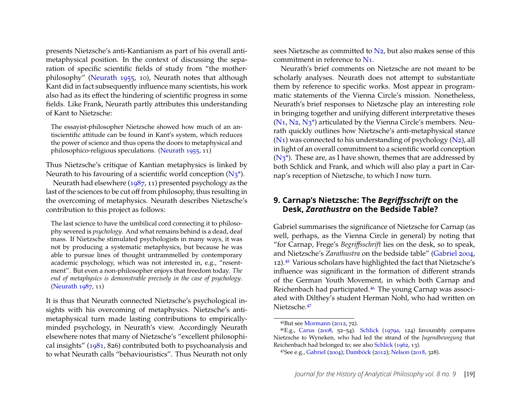presents Nietzsche's anti-Kantianism as part of his overall antimetaphysical position. In the context of discussing the separation of specific scientific fields of study from "the motherphilosophy" [\(Neurath 1955,](#page-27-14) 10), Neurath notes that although Kant did in fact subsequently influence many scientists, his work also had as its effect the hindering of scientific progress in some fields. Like Frank, Neurath partly attributes this understanding of Kant to Nietzsche:

The essayist-philosopher Nietzsche showed how much of an antiscientific attitude can be found in Kant's system, which reduces the power of science and thus opens the doors to metaphysical and philosophico-religious speculations. [\(Neurath 1955,](#page-27-14) 11)

Thus Nietzsche's critique of Kantian metaphysics is linked by Neurath to his favouring of a scientific world conception  $(N_3^*)$ .

Neurath had elsewhere [\(1987,](#page-27-15) 11) presented psychology as the last of the sciences to be cut off from philosophy, thus resulting in the overcoming of metaphysics. Neurath describes Nietzsche's contribution to this project as follows:

The last science to have the umbilical cord connecting it to philosophy severed is *psychology*. And what remains behind is a dead, deaf mass. If Nietzsche stimulated psychologists in many ways, it was not by producing a systematic metaphysics, but because he was able to pursue lines of thought untrammelled by contemporary academic psychology, which was not interested in, e.g., "resentment". But even a non-philosopher enjoys that freedom today. *The end of metaphysics is demonstrable precisely in the case of psychology*. [\(Neurath 1987,](#page-27-15) 11)

It is thus that Neurath connected Nietzsche's psychological insights with his overcoming of metaphysics. Nietzsche's antimetaphysical turn made lasting contributions to empiricallyminded psychology, in Neurath's view. Accordingly Neurath elsewhere notes that many of Nietzsche's "excellent philosophical insights" [\(1981,](#page-27-13) 826) contributed both to psychoanalysis and to what Neurath calls "behaviouristics". Thus Neurath not only sees Nietzsche as committed to [N2,](#page-0-0) but also makes sense of this commitment in reference to [N1.](#page-0-0)

Neurath's brief comments on Nietzsche are not meant to be scholarly analyses. Neurath does not attempt to substantiate them by reference to specific works. Most appear in programmatic statements of the Vienna Circle's mission. Nonetheless, Neurath's brief responses to Nietzsche play an interesting role in bringing together and unifying different interpretative theses  $(N_1, N_2, N_3^*)$  articulated by the Vienna Circle's members. Neurath quickly outlines how Nietzsche's anti-metaphysical stance  $(N_1)$  was connected to his understanding of psychology  $(N_2)$ , all in light of an overall commitment to a scientific world conception  $(N_3^*)$ . These are, as I have shown, themes that are addressed by both Schlick and Frank, and which will also play a part in Carnap's reception of Nietzsche, to which I now turn.

#### <span id="page-19-0"></span>**9. Carnap's Nietzsche: The** *Begriffsschrift* **on the Desk,** *Zarathustra* **on the Bedside Table?**

Gabriel summarises the significance of Nietzsche for Carnap (as well, perhaps, as the Vienna Circle in general) by noting that "for Carnap, Frege's *Begriffsschrift* lies on the desk, so to speak, and Nietzsche's *Zarathustra* on the bedside table" [\(Gabriel 2004,](#page-26-1) 12).[45](#page-19-1) Various scholars have highlighted the fact that Nietzsche's influence was significant in the formation of different strands of the German Youth Movement, in which both Carnap and Reichenbach had participated.<sup>[46](#page-19-2)</sup> The young Carnap was associated with Dilthey's student Herman Nohl, who had written on Nietzsche.[47](#page-19-3)

<span id="page-19-2"></span><span id="page-19-1"></span><sup>45</sup>But see [Mormann](#page-27-0) [\(2012,](#page-27-0) 72).

 $46E.g., Carus$  $46E.g., Carus$  [\(2008,](#page-25-11) 52-54). [Schlick](#page-28-17) [\(1979a,](#page-28-17) 124) favourably compares Nietzsche to Wyneken, who had led the strand of the *Jugendbewegung* that Reichenbach had belonged to; see also [Schlick](#page-28-8) [\(1962,](#page-28-8) 13).

<span id="page-19-3"></span><sup>47</sup>See e.g., [Gabriel](#page-26-1) [\(2004\)](#page-26-1); [Damböck](#page-25-12) [\(2012\)](#page-25-12); [Nelson](#page-27-3) [\(2018,](#page-27-3) 328).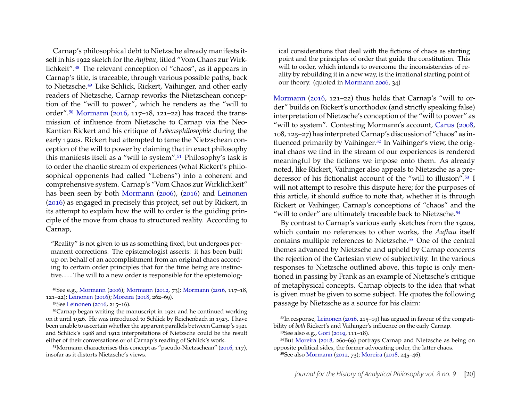Carnap's philosophical debt to Nietzsche already manifests itself in his 1922 sketch for the *Aufbau*, titled "Vom Chaos zur Wirklichkeit".[48](#page-20-0) The relevant conception of "chaos", as it appears in Carnap's title, is traceable, through various possible paths, back to Nietzsche.[49](#page-20-1) Like Schlick, Rickert, Vaihinger, and other early readers of Nietzsche, Carnap reworks the Nietzschean conception of the "will to power", which he renders as the "will to order".[50](#page-20-2) [Mormann](#page-27-16) [\(2016,](#page-27-16) 117–18, 121–22) has traced the transmission of influence from Nietzsche to Carnap via the Neo-Kantian Rickert and his critique of *Lebensphilosophie* during the early 1920s. Rickert had attempted to tame the Nietzschean conception of the will to power by claiming that in exact philosophy this manifests itself as a "will to system".[51](#page-20-3) Philosophy's task is to order the chaotic stream of experiences (what Rickert's philosophical opponents had called "Lebens") into a coherent and comprehensive system. Carnap's "Vom Chaos zur Wirklichkeit" has been seen by both [Mormann](#page-27-17) [\(2006\)](#page-27-17), [\(2016\)](#page-27-16) and [Leinonen](#page-26-17) [\(2016\)](#page-26-17) as engaged in precisely this project, set out by Rickert, in its attempt to explain how the will to order is the guiding principle of the move from chaos to structured reality. According to Carnap,

"Reality" is not given to us as something fixed, but undergoes permanent corrections. The epistemologist asserts: it has been built up on behalf of an accomplishment from an original chaos according to certain order principles that for the time being are instinctive.... The will to a new order is responsible for the epistemolog-

<span id="page-20-0"></span>48See e.g., [Mormann](#page-27-17) [\(2006\)](#page-27-17); [Mormann](#page-27-0) [\(2012,](#page-27-0) 73); [Mormann](#page-27-16) [\(2016,](#page-27-16) 117–18, 121–22); [Leinonen](#page-26-17) [\(2016\)](#page-26-17); [Moreira](#page-27-1) [\(2018,](#page-27-1) 262–69).

<span id="page-20-2"></span><span id="page-20-1"></span>49See [Leinonen](#page-26-17) [\(2016,](#page-26-17) 215–16).

50Carnap began writing the manuscript in 1921 and he continued working on it until 1926. He was introduced to Schlick by Reichenbach in 1923. I have been unable to ascertain whether the apparent parallels between Carnap's 1921 and Schlick's 1908 and 1912 interpretations of Nietzsche could be the result either of their conversations or of Carnap's reading of Schlick's work.

<span id="page-20-3"></span> $51$ Mormann characterises this concept as "pseudo-Nietzschean" [\(2016,](#page-27-16) 117), insofar as it distorts Nietzsche's views.

ical considerations that deal with the fictions of chaos as starting point and the principles of order that guide the constitution. This will to order, which intends to overcome the inconsistencies of reality by rebuilding it in a new way, is the irrational starting point of our theory. (quoted in [Mormann 2006,](#page-27-17) 34)

[Mormann](#page-27-16) [\(2016,](#page-27-16) 121–22) thus holds that Carnap's "will to order" builds on Rickert's unorthodox (and strictly speaking false) interpretation of Nietzsche's conception of the "will to power" as "will to system". Contesting Mormann's account, [Carus](#page-25-11) [\(2008,](#page-25-11) 108, 125–27) has interpreted Carnap's discussion of "chaos" as influenced primarily by Vaihinger.[52](#page-20-4) In Vaihinger's view, the original chaos we find in the stream of our experiences is rendered meaningful by the fictions we impose onto them. As already noted, like Rickert, Vaihinger also appeals to Nietzsche as a predecessor of his fictionalist account of the "will to illusion".[53](#page-20-5) I will not attempt to resolve this dispute here; for the purposes of this article, it should suffice to note that, whether it is through Rickert or Vaihinger, Carnap's conceptions of "chaos" and the "will to order" are ultimately traceable back to Nietzsche.<sup>[54](#page-20-6)</sup>

By contrast to Carnap's various early sketches from the 1920s, which contain no references to other works, the *Aufbau* itself contains multiple references to Nietzsche.[55](#page-20-7) One of the central themes advanced by Nietzsche and upheld by Carnap concerns the rejection of the Cartesian view of subjectivity. In the various responses to Nietzsche outlined above, this topic is only mentioned in passing by Frank as an example of Nietzsche's critique of metaphysical concepts. Carnap objects to the idea that what is given must be given to some subject. He quotes the following passage by Nietzsche as a source for his claim:

<span id="page-20-4"></span><sup>52</sup>In response, [Leinonen](#page-26-17) [\(2016,](#page-26-17) 215–19) has argued in favour of the compatibility of *both* Rickert's and Vaihinger's influence on the early Carnap. 53See also e.g., [Gori](#page-26-15) [\(2019,](#page-26-15) 111–18).

<span id="page-20-6"></span><span id="page-20-5"></span><sup>54</sup>But [Moreira](#page-27-1) [\(2018,](#page-27-1) 260–69) portrays Carnap and Nietzsche as being on opposite political sides, the former advocating order, the latter chaos.

<span id="page-20-7"></span><sup>55</sup>See also [Mormann](#page-27-0) [\(2012,](#page-27-0) 73); [Moreira](#page-27-1) [\(2018,](#page-27-1) 245–46).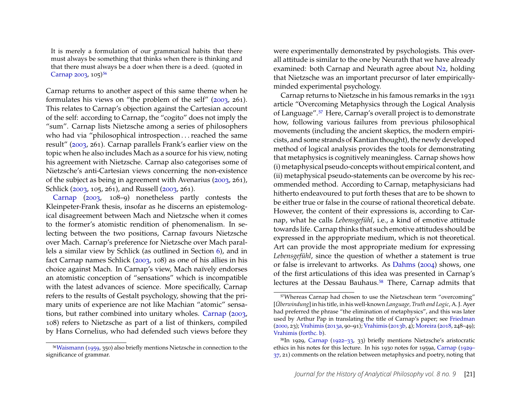It is merely a formulation of our grammatical habits that there must always be something that thinks when there is thinking and that there must always be a doer when there is a deed. (quoted in [Carnap 2003,](#page-25-13) 105)<sup>[56](#page-21-0)</sup>

Carnap returns to another aspect of this same theme when he formulates his views on "the problem of the self" [\(2003,](#page-25-13) 261). This relates to Carnap's objection against the Cartesian account of the self: according to Carnap, the "cogito" does not imply the "sum". Carnap lists Nietzsche among a series of philosophers who had via "philosophical introspection . . . reached the same result" [\(2003,](#page-25-13) 261). Carnap parallels Frank's earlier view on the topic when he also includes Mach as a source for his view, noting his agreement with Nietzsche. Carnap also categorises some of Nietzsche's anti-Cartesian views concerning the non-existence of the subject as being in agreement with Avenarius [\(2003,](#page-25-13) 261), Schlick [\(2003,](#page-25-13) 105, 261), and Russell [\(2003,](#page-25-13) 261).

[Carnap](#page-25-13) [\(2003,](#page-25-13) 108–9) nonetheless partly contests the Kleinpeter-Frank thesis, insofar as he discerns an epistemological disagreement between Mach and Nietzsche when it comes to the former's atomistic rendition of phenomenalism. In selecting between the two positions, Carnap favours Nietzsche over Mach. Carnap's preference for Nietzsche over Mach parallels a similar view by Schlick (as outlined in Section [6\)](#page-12-0), and in fact Carnap names Schlick [\(2003,](#page-25-13) 108) as one of his allies in his choice against Mach. In Carnap's view, Mach naïvely endorses an atomistic conception of "sensations" which is incompatible with the latest advances of science. More specifically, Carnap refers to the results of Gestalt psychology, showing that the primary units of experience are not like Machian "atomic" sensations, but rather combined into unitary wholes. [Carnap](#page-25-13) [\(2003,](#page-25-13) 108) refers to Nietzsche as part of a list of thinkers, compiled by Hans Cornelius, who had defended such views before they

<span id="page-21-0"></span>56[Waismann](#page-29-14) [\(1959,](#page-29-14) 350) also briefly mentions Nietzsche in connection to the significance of grammar.

were experimentally demonstrated by psychologists. This overall attitude is similar to the one by Neurath that we have already examined: both Carnap and Neurath agree about [N2,](#page-0-0) holding that Nietzsche was an important precursor of later empiricallyminded experimental psychology.

Carnap returns to Nietzsche in his famous remarks in the 1931 article "Overcoming Metaphysics through the Logical Analysis of Language".[57](#page-21-1) Here, Carnap's overall project is to demonstrate how, following various failures from previous philosophical movements (including the ancient skeptics, the modern empiricists, and some strands of Kantian thought), the newly developed method of logical analysis provides the tools for demonstrating that metaphysics is cognitively meaningless. Carnap shows how (i) metaphysical pseudo-concepts without empirical content, and (ii) metaphysical pseudo-statements can be overcome by his recommended method. According to Carnap, metaphysicians had hitherto endeavoured to put forth theses that are to be shown to be either true or false in the course of rational theoretical debate. However, the content of their expressions is, according to Carnap, what he calls *Lebensgefühl*, i.e., a kind of emotive attitude towards life. Carnap thinks that such emotive attitudes should be expressed in the appropriate medium, which is not theoretical. Art can provide the most appropriate medium for expressing *Lebensgefühl*, since the question of whether a statement is true or false is irrelevant to artworks. As [Dahms](#page-25-14) [\(2004\)](#page-25-14) shows, one of the first articulations of this idea was presented in Carnap's lectures at the Dessau Bauhaus.<sup>[58](#page-21-2)</sup> There, Carnap admits that

<span id="page-21-1"></span><sup>57</sup>Whereas Carnap had chosen to use the Nietzschean term "overcoming" [*Überwindung*] in his title, in his well-known *Language, Truth and Logic*, A. J. Ayer had preferred the phrase "the elimination of metaphysics", and this was later used by Arthur Pap in translating the title of Carnap's paper; see [Friedman](#page-26-18) [\(2000,](#page-26-18) 23); [Vrahimis](#page-29-15) [\(2013a,](#page-29-15) 90–91); [Vrahimis](#page-29-16) [\(2013b,](#page-29-16) 4); [Moreira](#page-27-1) [\(2018,](#page-27-1) 248–49); [Vrahimis](#page-29-17) [\(forthc. b\)](#page-29-17).

<span id="page-21-2"></span><sup>58</sup>In 1929, [Carnap](#page-25-4) [\(1922–33,](#page-25-4) 33) briefly mentions Nietzsche's aristocratic ethics in his notes for this lecture. In his 1930 notes for 1959a, [Carnap](#page-25-15) [\(1929–](#page-25-15) [37,](#page-25-15) 21) comments on the relation between metaphysics and poetry, noting that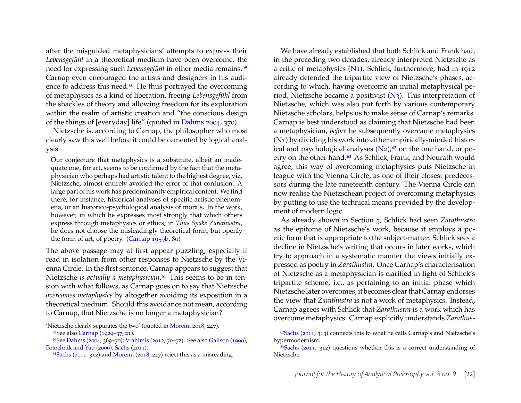after the misguided metaphysicians' attempts to express their *Lebensgefühl* in a theoretical medium have been overcome, the need for expressing such *Lebensgefühl* in other media remains.[59](#page-22-0) Carnap even encouraged the artists and designers in his audience to address this need. $60$  He thus portrayed the overcoming of metaphysics as a kind of liberation, freeing *Lebensgefühl* from the shackles of theory and allowing freedom for its exploration within the realm of artistic creation and "the conscious design of the things of [everyday] life" (quoted in [Dahms 2004,](#page-25-14) 370).

Nietzsche is, according to Carnap, the philosopher who most clearly saw this well before it could be cemented by logical analysis:

Our conjecture that metaphysics is a substitute, albeit an inadequate one, for art, seems to be confirmed by the fact that the metaphysician who perhaps had artistic talent to the highest degree, viz. Nietzsche, almost entirely avoided the error of that confusion. A large part of his work has predominantly empirical content. We find there, for instance, historical analyses of specific artistic phenomena, or an historico-psychological analysis of morals. In the work, however, in which he expresses most strongly that which others express through metaphysics or ethics, in *Thus Spake Zarathustra*, he does not choose the misleadingly theoretical form, but openly the form of art, of poetry. [\(Carnap 1959b,](#page-25-16) 80)

The above passage may at first appear puzzling, especially if read in isolation from other responses to Nietzsche by the Vienna Circle. In the first sentence, Carnap appears to suggest that Nietzsche *is actually a metaphysician*.[61](#page-22-2) This seems to be in tension with what follows, as Carnap goes on to say that Nietzsche *overcomes metaphysics* by altogether avoiding its exposition in a theoretical medium. Should this avoidance not mean, according to Carnap, that Nietzsche is no longer a metaphysician?

We have already established that both Schlick and Frank had, in the preceding two decades, already interpreted Nietzsche as a critic of metaphysics [\(N1\)](#page-0-0). Schlick, furthermore, had in 1912 already defended the tripartite view of Nietzsche's phases, according to which, having overcome an initial metaphysical period, Nietzsche became a positivist  $(N_3)$ . This interpretation of Nietzsche, which was also put forth by various contemporary Nietzsche scholars, helps us to make sense of Carnap's remarks. Carnap is best understood as claiming that Nietzsche had been a metaphysician, *before* he subsequently overcame metaphysics [\(N1\)](#page-0-0) by dividing his work into either empirically-minded historical and psychological analyses  $(N_2)$ ,  $62$  on the one hand, or po-etry on the other hand.<sup>[63](#page-22-4)</sup> As Schlick, Frank, and Neurath would agree, this way of overcoming metaphysics puts Nietzsche in league with the Vienna Circle, as one of their closest predecessors during the late nineteenth century. The Vienna Circle can now realise the Nietzschean project of overcoming metaphysics by putting to use the technical means provided by the development of modern logic.

As already shown in Section [5,](#page-10-0) Schlick had seen *Zarathustra* as the epitome of Nietzsche's work, because it employs a poetic form that is appropriate to the subject-matter. Schlick sees a decline in Nietzsche's writing that occurs in later works, which try to approach in a systematic manner the views initially expressed as poetry in *Zarathustra*. Once Carnap's characterisation of Nietzsche as a metaphysician is clarified in light of Schlick's tripartite scheme, i.e., as pertaining to an initial phase which Nietzsche later overcomes, it becomes clear that Carnap endorses the view that *Zarathustra* is not a work of metaphysics. Instead, Carnap agrees with Schlick that *Zarathustra* is a work which has overcome metaphysics. Carnap explicitly understands *Zarathus-*

<span id="page-22-0"></span><sup>&#</sup>x27;Nietzsche clearly separates the two' (quoted in [Moreira 2018,](#page-27-1) 247). 59See also [Carnap](#page-25-15) [\(1929–37,](#page-25-15) 21).

<span id="page-22-1"></span><sup>60</sup>See [Dahms](#page-25-14) [\(2004,](#page-25-14) 369–70); [Vrahimis](#page-29-18) [\(2012,](#page-29-18) 70–72). See also [Galison](#page-26-19) [\(1990\)](#page-26-19); [Potochnik and Yap](#page-27-18) [\(2006\)](#page-27-18); [Sachs](#page-28-0) [\(2011\)](#page-28-0).

<span id="page-22-2"></span> $61$ [Sachs](#page-28-0) [\(2011,](#page-28-0) 312) and [Moreira](#page-27-1) [\(2018,](#page-27-1) 247) reject this as a misreading.

<span id="page-22-3"></span><sup>62</sup>[Sachs](#page-28-0) [\(2011,](#page-28-0) 313) connects this to what he calls Carnap's and Nietzsche's hypermodernism.

<span id="page-22-4"></span> $63$ [Sachs](#page-28-0) [\(2011,](#page-28-0) 312) questions whether this is a correct understanding of Nietzsche.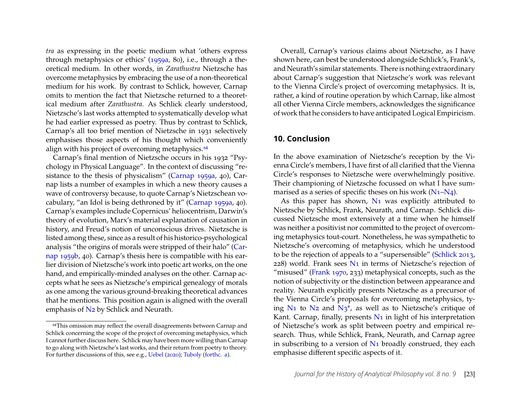*tra* as expressing in the poetic medium what 'others express through metaphysics or ethics' [\(1959a,](#page-25-3) 80), i.e., through a theoretical medium. In other words, in *Zarathustra* Nietzsche has overcome metaphysics by embracing the use of a non-theoretical medium for his work. By contrast to Schlick, however, Carnap omits to mention the fact that Nietzsche returned to a theoretical medium after *Zarathustra*. As Schlick clearly understood, Nietzsche's last works attempted to systematically develop what he had earlier expressed as poetry. Thus by contrast to Schlick, Carnap's all too brief mention of Nietzsche in 1931 selectively emphasises those aspects of his thought which conveniently align with his project of overcoming metaphysics.<sup>[64](#page-23-0)</sup>

Carnap's final mention of Nietzsche occurs in his 1932 "Psychology in Physical Language". In the context of discussing "resistance to the thesis of physicalism" [\(Carnap 1959a,](#page-25-3) 40), Carnap lists a number of examples in which a new theory causes a wave of controversy because, to quote Carnap's Nietzschean vocabulary, "an Idol is being dethroned by it" [\(Carnap 1959a,](#page-25-3) 40). Carnap's examples include Copernicus' heliocentrism, Darwin's theory of evolution, Marx's material explanation of causation in history, and Freud's notion of unconscious drives. Nietzsche is listed among these, since as a result of his historico-psychological analysis "the origins of morals were stripped of their halo" [\(Car](#page-25-16)[nap 1959b,](#page-25-16) 40). Carnap's thesis here is compatible with his earlier division of Nietzsche's work into poetic art works, on the one hand, and empirically-minded analyses on the other. Carnap accepts what he sees as Nietzsche's empirical genealogy of morals as one among the various ground-breaking theoretical advances that he mentions. This position again is aligned with the overall emphasis of [N2](#page-0-0) by Schlick and Neurath.

Overall, Carnap's various claims about Nietzsche, as I have shown here, can best be understood alongside Schlick's, Frank's, and Neurath's similar statements. There is nothing extraordinary about Carnap's suggestion that Nietzsche's work was relevant to the Vienna Circle's project of overcoming metaphysics. It is, rather, a kind of routine operation by which Carnap, like almost all other Vienna Circle members, acknowledges the significance of work that he considers to have anticipated Logical Empiricism.

#### **10. Conclusion**

In the above examination of Nietzsche's reception by the Vienna Circle's members, I have first of all clarified that the Vienna Circle's responses to Nietzsche were overwhelmingly positive. Their championing of Nietzsche focussed on what I have summarised as a series of specific theses on his work  $(N_1-N_4)$ .

As this paper has shown,  $N_1$  was explicitly attributed to Nietzsche by Schlick, Frank, Neurath, and Carnap. Schlick discussed Nietzsche most extensively at a time when he himself was neither a positivist nor committed to the project of overcoming metaphysics tout-court. Nonetheless, he was sympathetic to Nietzsche's overcoming of metaphysics, which he understood to be the rejection of appeals to a "supersensible" [\(Schlick 2013,](#page-28-1) 228) world. Frank sees [N1](#page-0-0) in terms of Nietzsche's rejection of "misused" [\(Frank 1970,](#page-26-6) 233) metaphysical concepts, such as the notion of subjectivity or the distinction between appearance and reality. Neurath explicitly presents Nietzsche as a precursor of the Vienna Circle's proposals for overcoming metaphysics, tying N<sub>1</sub> to N<sub>2</sub> and N<sub>3</sub><sup>\*</sup>, as well as to Nietzsche's critique of Kant. Carnap, finally, presents  $N_1$  in light of his interpretation of Nietzsche's work as split between poetry and empirical research. Thus, while Schlick, Frank, Neurath, and Carnap agree in subscribing to a version of [N1](#page-0-0) broadly construed, they each emphasise different specific aspects of it.

<span id="page-23-0"></span><sup>&</sup>lt;sup>64</sup>This omission may reflect the overall disagreements between Carnap and Schlick concerning the scope of the project of overcoming metaphysics, which I cannot further discuss here. Schlick may have been more willing than Carnap to go along with Nietzsche's last works, and their return from poetry to theory. For further discussions of this, see e.g., [Uebel](#page-29-10) [\(2020\)](#page-29-10); [Tuboly](#page-28-7) [\(forthc. a\)](#page-28-7).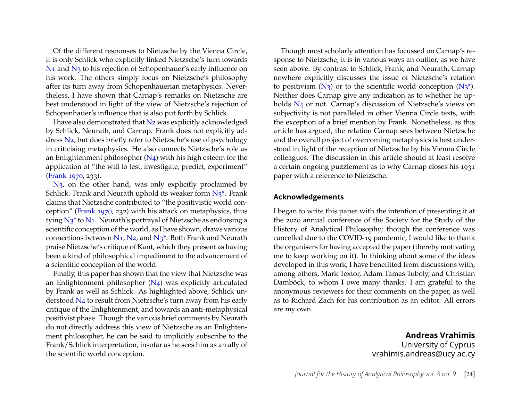Of the different responses to Nietzsche by the Vienna Circle, it is only Schlick who explicitly linked Nietzsche's turn towards [N1](#page-0-0) and [N3](#page-0-0) to his rejection of Schopenhauer's early influence on his work. The others simply focus on Nietzsche's philosophy after its turn away from Schopenhauerian metaphysics. Nevertheless, I have shown that Carnap's remarks on Nietzsche are best understood in light of the view of Nietzsche's rejection of Schopenhauer's influence that is also put forth by Schlick.

I have also demonstrated that [N2](#page-0-0) was explicitly acknowledged by Schlick, Neurath, and Carnap. Frank does not explicitly address [N2,](#page-0-0) but does briefly refer to Nietzsche's use of psychology in criticising metaphysics. He also connects Nietzsche's role as an Enlightenment philosopher  $(N_4)$  with his high esteem for the application of "the will to test, investigate, predict, experiment" [\(Frank 1970,](#page-26-6) 233).

N<sub>3</sub>, on the other hand, was only explicitly proclaimed by Schlick. Frank and Neurath uphold its weaker form  $N_3^*$ . Frank claims that Nietzsche contributed to "the positivistic world conception" [\(Frank 1970,](#page-26-6) 232) with his attack on metaphysics, thus tying  $N_3^*$  to  $N_1$ . Neurath's portrayal of Nietzsche as endorsing a scientific conception of the world, as I have shown, draws various connections between  $N_1$ ,  $N_2$ , and  $N_3$ <sup>\*</sup>. Both Frank and Neurath praise Nietzsche's critique of Kant, which they present as having been a kind of philosophical impediment to the advancement of a scientific conception of the world.

Finally, this paper has shown that the view that Nietzsche was an Enlightenment philosopher [\(N4\)](#page-0-0) was explicitly articulated by Frank as well as Schlick. As highlighted above, Schlick understood [N4](#page-0-0) to result from Nietzsche's turn away from his early critique of the Enlightenment, and towards an anti-metaphysical positivist phase. Though the various brief comments by Neurath do not directly address this view of Nietzsche as an Enlightenment philosopher, he can be said to implicitly subscribe to the Frank/Schlick interpretation, insofar as he sees him as an ally of the scientific world conception.

Though most scholarly attention has focussed on Carnap's response to Nietzsche, it is in various ways an outlier, as we have seen above. By contrast to Schlick, Frank, and Neurath, Carnap nowhere explicitly discusses the issue of Nietzsche's relation to positivism  $(N_3)$  or to the scientific world conception  $(N_3^*)$ . Neither does Carnap give any indication as to whether he upholds [N4](#page-0-0) or not. Carnap's discussion of Nietzsche's views on subjectivity is not paralleled in other Vienna Circle texts, with the exception of a brief mention by Frank. Nonetheless, as this article has argued, the relation Carnap sees between Nietzsche and the overall project of overcoming metaphysics is best understood in light of the reception of Nietzsche by his Vienna Circle colleagues. The discussion in this article should at least resolve a certain ongoing puzzlement as to why Carnap closes his 1931 paper with a reference to Nietzsche.

#### **Acknowledgements**

I began to write this paper with the intention of presenting it at the 2020 annual conference of the Society for the Study of the History of Analytical Philosophy; though the conference was cancelled due to the COVID-19 pandemic, I would like to thank the organisers for having accepted the paper (thereby motivating me to keep working on it). In thinking about some of the ideas developed in this work, I have benefitted from discussions with, among others, Mark Textor, Adam Tamas Tuboly, and Christian Damböck, to whom I owe many thanks. I am grateful to the anonymous reviewers for their comments on the paper, as well as to Richard Zach for his contribution as an editor. All errors are my own.

> **Andreas Vrahimis** University of Cyprus vrahimis.andreas@ucy.ac.cy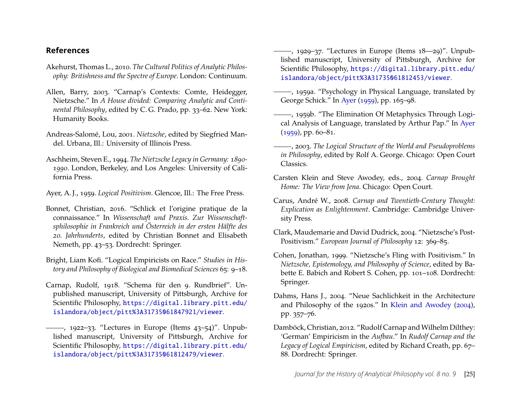#### **References**

- <span id="page-25-5"></span>Akehurst, Thomas L., 2010. *The Cultural Politics of Analytic Philosophy: Britishness and the Spectre of Europe*. London: Continuum.
- <span id="page-25-2"></span>Allen, Barry, 2003. "Carnap's Contexts: Comte, Heidegger, Nietzsche." In *A House divided: Comparing Analytic and Continental Philosophy*, edited by C. G. Prado, pp. 33–62. New York: Humanity Books.
- <span id="page-25-8"></span>Andreas-Salomé, Lou, 2001. *Nietzsche*, edited by Siegfried Mandel. Urbana, Ill.: University of Illinois Press.
- <span id="page-25-7"></span>Aschheim, Steven E., 1994. *The Nietzsche Legacy in Germany: 1890- 1990*. London, Berkeley, and Los Angeles: University of California Press.
- <span id="page-25-17"></span>Ayer, A. J., 1959. *Logical Positivism*. Glencoe, Ill.: The Free Press.
- <span id="page-25-10"></span>Bonnet, Christian, 2016. "Schlick et l'origine pratique de la connaissance." In *Wissenschaft und Praxis. Zur Wissenschaftsphilosophie in Frankreich und Österreich in der ersten Hälfte des 20. Jahrhunderts*, edited by Christian Bonnet and Elisabeth Nemeth, pp. 43–53. Dordrecht: Springer.
- <span id="page-25-9"></span>Bright, Liam Kofi. "Logical Empiricists on Race." *Studies in History and Philosophy of Biological and Biomedical Sciences* 65: 9–18.
- <span id="page-25-6"></span>Carnap, Rudolf, 1918. "Schema für den 9. Rundbrief". Unpublished manuscript, University of Pittsburgh, Archive for Scientific Philosophy, [https://digital.library.pitt.edu/](https://digital.library.pitt.edu/islandora/object/pitt%3A31735061847921/viewer) [islandora/object/pitt%3A31735061847921/viewer](https://digital.library.pitt.edu/islandora/object/pitt%3A31735061847921/viewer).
- <span id="page-25-4"></span> $-$ , 1922–33. "Lectures in Europe (Items  $43-54$ )". Unpublished manuscript, University of Pittsburgh, Archive for Scientific Philosophy, [https://digital.library.pitt.edu/](https://digital.library.pitt.edu/islandora/object/pitt%3A31735061812479/viewer) [islandora/object/pitt%3A31735061812479/viewer](https://digital.library.pitt.edu/islandora/object/pitt%3A31735061812479/viewer).
- <span id="page-25-15"></span>, 1929–37. "Lectures in Europe (Items 18—29)". Unpublished manuscript, University of Pittsburgh, Archive for Scientific Philosophy, [https://digital.library.pitt.edu/](https://digital.library.pitt.edu/islandora/object/pitt%3A31735061812453/viewer) [islandora/object/pitt%3A31735061812453/viewer](https://digital.library.pitt.edu/islandora/object/pitt%3A31735061812453/viewer).
- <span id="page-25-3"></span>, 1959a. "Psychology in Physical Language, translated by George Schick." In [Ayer](#page-25-17) [\(1959\)](#page-25-17), pp. 165–98.
- <span id="page-25-16"></span>, 1959b. "The Elimination Of Metaphysics Through Logical Analysis of Language, translated by Arthur Pap." In [Ayer](#page-25-17)  $(1959)$ , pp. 60–81.
- <span id="page-25-13"></span>, 2003. *The Logical Structure of the World and Pseudoproblems in Philosophy*, edited by Rolf A. George. Chicago: Open Court Classics.
- <span id="page-25-18"></span>Carsten Klein and Steve Awodey, eds., 2004. *Carnap Brought Home: The View from Jena*. Chicago: Open Court.
- <span id="page-25-11"></span>Carus, André W., 2008. *Carnap and Twentieth-Century Thought: Explication as Enlightenment*. Cambridge: Cambridge University Press.
- <span id="page-25-1"></span>Clark, Maudemarie and David Dudrick, 2004. "Nietzsche's Post-Positivism." *European Journal of Philosophy* 12: 369–85.
- <span id="page-25-0"></span>Cohen, Jonathan, 1999. "Nietzsche's Fling with Positivism." In *Nietzsche, Epistemology, and Philosophy of Science*, edited by Babette E. Babich and Robert S. Cohen, pp. 101–108. Dordrecht: Springer.
- <span id="page-25-14"></span>Dahms, Hans J., 2004. "Neue Sachlichkeit in the Architecture and Philosophy of the 1920s." In [Klein and Awodey](#page-25-18) [\(2004\)](#page-25-18), pp. 357–76.
- <span id="page-25-12"></span>Damböck, Christian, 2012. "Rudolf Carnap and Wilhelm Dilthey: 'German' Empiricism in the *Aufbau*." In *Rudolf Carnap and the Legacy of Logical Empiricism*, edited by Richard Creath, pp. 67– 88. Dordrecht: Springer.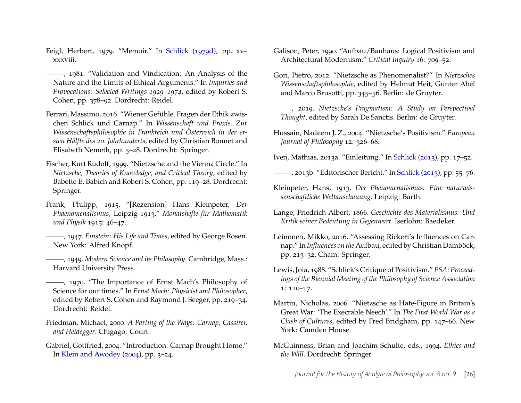- <span id="page-26-9"></span>Feigl, Herbert, 1979. "Memoir." In [Schlick](#page-28-19) [\(1979d\)](#page-28-19), pp. xv– xxxviii.
- <span id="page-26-8"></span>(1981), 1981. "Validation and Vindication: An Analysis of the Nature and the Limits of Ethical Arguments." In *Inquiries and Provocations: Selected Writings 1929–1974*, edited by Robert S. Cohen, pp. 378–92. Dordrecht: Reidel.
- <span id="page-26-4"></span>Ferrari, Massimo, 2016. "Wiener Gefühle. Fragen der Ethik zwischen Schlick und Carnap." In *Wissenschaft und Praxis. Zur Wissenschaftsphilosophie in Frankreich und Österreich in der ersten Hälfte des 20. Jahrhunderts*, edited by Christian Bonnet and Elisabeth Nemeth, pp. 5–28. Dordrecht: Springer.
- <span id="page-26-5"></span>Fischer, Kurt Rudolf, 1999. "Nietzsche and the Vienna Circle." In *Nietzsche, Theories of Knowledge, and Critical Theory*, edited by Babette E. Babich and Robert S. Cohen, pp. 119–28. Dordrecht: Springer.
- <span id="page-26-12"></span>Frank, Philipp, 1915. "[Rezension] Hans Kleinpeter, *Der Phaenomenalismus*, Leipzig 1913." *Monatshefte für Mathematik und Physik* 1915: 46–47.
- <span id="page-26-16"></span>, 1947. *Einstein: His Life and Times*, edited by George Rosen. New York: Alfred Knopf.
- <span id="page-26-13"></span>, 1949. *Modern Science and its Philosophy*. Cambridge, Mass.: Harvard University Press.
- <span id="page-26-6"></span>, 1970. "The Importance of Ernst Mach's Philosophy of Science for our times." In *Ernst Mach: Physicist and Philosopher*, edited by Robert S. Cohen and Raymond J. Seeger, pp. 219–34. Dordrecht: Reidel.
- <span id="page-26-18"></span>Friedman, Michael, 2000. *A Parting of the Ways: Carnap, Cassirer, and Heidegger*. Chigago: Court.
- <span id="page-26-1"></span>Gabriel, Gottfried, 2004. "Introduction: Carnap Brought Home." In [Klein and Awodey](#page-25-18) [\(2004\)](#page-25-18), pp. 3–24.
- <span id="page-26-19"></span>Galison, Peter, 1990. "Aufbau/Bauhaus: Logical Positivism and Architectural Modernism." *Critical Inquiry* 16: 709–52.
- <span id="page-26-11"></span>Gori, Pietro, 2012. "Nietzsche as Phenomenalist?" In *Nietzsches Wissenschaftsphilosophie*, edited by Helmut Heit, Günter Abel and Marco Brusotti, pp. 345–56. Berlin: de Gruyter.
- <span id="page-26-15"></span>, 2019. *Nietzsche's Pragmatism: A Study on Perspectival Thought*, edited by Sarah De Sanctis. Berlin: de Gruyter.
- <span id="page-26-0"></span>Hussain, Nadeem J. Z., 2004. "Nietzsche's Positivism." *European Journal of Philosophy* 12: 326–68.
- <span id="page-26-2"></span>Iven, Mathias, 2013a. "Einleitung." In [Schlick](#page-28-1) [\(2013\)](#page-28-1), pp. 17–52.
- <span id="page-26-3"></span>, 2013b. "Editorischer Bericht." In [Schlick](#page-28-1) [\(2013\)](#page-28-1), pp. 55–76.
- <span id="page-26-14"></span>Kleinpeter, Hans, 1913. *Der Phenomenalismus: Eine naturwissenschaftliche Weltanschauung*. Leipzig: Barth.
- Lange, Friedrich Albert, 1866. *Geschichte des Materialismus: Und Kritik seiner Bedeutung in Gegenwart*. Iserlohn: Baedeker.
- <span id="page-26-17"></span>Leinonen, Mikko, 2016. "Assessing Rickert's Influences on Carnap." In *Influences on the*Aufbau, edited by Christian Damböck, pp. 213–32. Cham: Springer.
- <span id="page-26-10"></span>Lewis, Joia, 1988. "Schlick's Critique of Positivism." *PSA: Proceedings of the Biennial Meeting of the Philosophy of Science Association* 1: 110–17.
- <span id="page-26-7"></span>Martin, Nicholas, 2006. "Nietzsche as Hate-Figure in Britain's Great War: 'The Execrable Neech'." In *The First World War as a Clash of Cultures*, edited by Fred Bridgham, pp. 147–66. New York: Camden House.
- <span id="page-26-20"></span>McGuinness, Brian and Joachim Schulte, eds., 1994. *Ethics and the Will*. Dordrecht: Springer.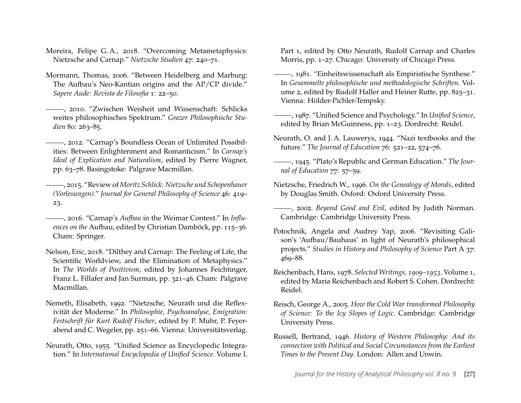- <span id="page-27-1"></span>Moreira, Felipe G. A., 2018. "Overcoming Metametaphysics: Nietzsche and Carnap." *Nietzsche Studien* 47: 240–71.
- <span id="page-27-17"></span>Mormann, Thomas, 2006. "Between Heidelberg and Marburg: The Aufbau's Neo-Kantian origins and the AP/CP divide." *Sapere Aude: Revista de Filosofia* 1: 22–50.
- <span id="page-27-5"></span>, 2010. "Zwischen Weisheit und Wissenschaft: Schlicks weites philosophisches Spektrum." *Grazer Philosophische Studien* 80: 263–85.
- <span id="page-27-0"></span>, 2012. "Carnap's Boundless Ocean of Unlimited Possibilities: Between Enlightenment and Romanticism." In *Carnap's Ideal of Explication and Naturalism*, edited by Pierre Wagner, pp. 63–78. Basingstoke: Palgrave Macmillan.
- <span id="page-27-4"></span>, 2015. "Review of *Moritz Schlick: Nietzsche und Schopenhauer (Vorlesungen)*." *Journal for General Philosophy of Science* 46: 419– 23.
- <span id="page-27-16"></span>, 2016. "Carnap's *Aufbau* in the Weimar Context." In *Influences on the* Aufbau, edited by Christian Damböck, pp. 115–36. Cham: Springer.
- <span id="page-27-3"></span>Nelson, Eric, 2018. "Dilthey and Carnap: The Feeling of Life, the Scientific Worldview, and the Elimination of Metaphysics." In *The Worlds of Positivism*, edited by Johannes Feichtinger, Franz L. Fillafer and Jan Surman, pp. 321–46. Cham: Palgrave Macmillan.
- <span id="page-27-2"></span>Nemeth, Elisabeth, 1992. "Nietzsche, Neurath und die Reflexivität der Moderne." In *Philosophie, Psychoanalyse, Emigration: Festschrift für Kurt Rudolf Fischer*, edited by P. Muhr, P. Feyerabend and C. Wegeler, pp. 251–66. Vienna: Universitätsverlag.
- <span id="page-27-14"></span>Neurath, Otto, 1955. "Unified Science as Encyclopedic Integration." In *International Encyclopedia of Unified Science.* Volume I.

Part 1, edited by Otto Neurath, Rudolf Carnap and Charles Morris, pp. 1–27. Chicago: University of Chicago Press.

- <span id="page-27-13"></span>, 1981. "Einheitswissenschaft als Empiristische Synthese." In *Gesammelte philosophische und methodologische Schriften.* Volume 2, edited by Rudolf Haller and Heiner Rutte, pp. 825–31. Vienna: Hölder-Pichler-Tempsky.
- <span id="page-27-15"></span>, 1987. "Unified Science and Psychology." In *Unified Science*, edited by Brian McGuinness, pp. 1–23. Dordrecht: Reidel.
- <span id="page-27-7"></span>Neurath, O. and J. A. Lauwerys, 1944. "Nazi textbooks and the future." *The Journal of Education* 76: 521–22, 574–76.
- <span id="page-27-8"></span>, 1945. "Plato's Republic and German Education." *The Jour*nal of Education 77: 57-59.
- <span id="page-27-11"></span>Nietzsche, Friedrich W., 1996. *On the Genealogy of Morals*, edited by Douglas Smith. Oxford: Oxford University Press.
- <span id="page-27-10"></span>, 2002. *Beyond Good and Evil*, edited by Judith Norman. Cambridge: Cambridge University Press.
- <span id="page-27-18"></span>Potochnik, Angela and Audrey Yap, 2006. "Revisiting Galison's 'Aufbau/Bauhaus' in light of Neurath's philosophical projects." *Studies in History and Philosophy of Science* Part A 37: 469–88.
- <span id="page-27-12"></span>Reichenbach, Hans, 1978. *Selected Writings, 1909–1953.* Volume 1, edited by Maria Reichenbach and Robert S. Cohen. Dordrecht: Reidel.
- <span id="page-27-9"></span>Reisch, George A., 2005. *How the Cold War transformed Philosophy of Science: To the Icy Slopes of Logic*. Cambridge: Cambridge University Press.
- <span id="page-27-6"></span>Russell, Bertrand, 1946. *History of Western Philosophy: And its connection with Political and Social Circumstances from the Earliest Times to the Present Day*. London: Allen and Unwin.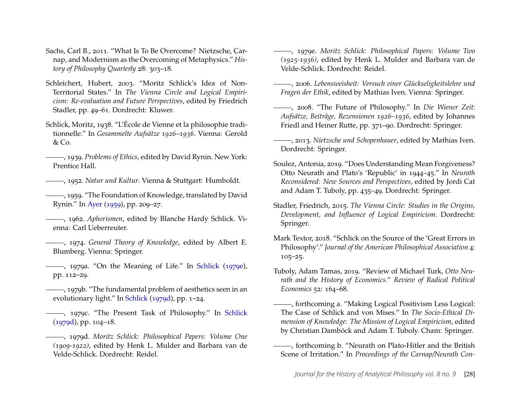- <span id="page-28-0"></span>Sachs, Carl B., 2011. "What Is To Be Overcome? Nietzsche, Carnap, and Modernism as the Overcoming of Metaphysics." *History of Philosophy Quarterly* 28: 303–18.
- <span id="page-28-6"></span>Schleichert, Hubert, 2003. "Moritz Schlick's Idea of Non-Territorial States." In *The Vienna Circle and Logical Empiricism: Re-evaluation and Future Perspectives*, edited by Friedrich Stadler, pp. 49–61. Dordrecht: Kluwer.
- <span id="page-28-12"></span>Schlick, Moritz, 1938. "L'École de Vienne et la philosophie traditionnelle." In *Gesammelte Aufsätze 1926–1936*. Vienna: Gerold & Co.
- , 1939. *Problems of Ethics*, edited by David Rynin. New York: Prentice Hall.
- <span id="page-28-2"></span>, 1952. *Natur und Kultur*. Vienna & Stuttgart: Humboldt.
- <span id="page-28-16"></span>, 1959. "The Foundation of Knowledge, translated by David Rynin." In [Ayer](#page-25-17) [\(1959\)](#page-25-17), pp. 209–27.
- <span id="page-28-8"></span>, 1962. *Aphorismen*, edited by Blanche Hardy Schlick. Vienna: Carl Ueberreuter.
- <span id="page-28-15"></span>, 1974. *General Theory of Knowledge*, edited by Albert E. Blumberg. Vienna: Springer.
- <span id="page-28-17"></span>, 1979a. "On the Meaning of Life." In [Schlick](#page-28-20) [\(1979e\)](#page-28-20), pp. 112–29.
- <span id="page-28-13"></span>, 1979b. "The fundamental problem of aesthetics seen in an evolutionary light." In [Schlick](#page-28-19) [\(1979d\)](#page-28-19), pp. 1–24.
- <span id="page-28-10"></span>, 1979c. "The Present Task of Philosophy." In [Schlick](#page-28-19) [\(1979d\)](#page-28-19), pp. 104–18.
- <span id="page-28-19"></span>, 1979d. *Moritz Schlick: Philosophical Papers: Volume One (1909-1922)*, edited by Henk L. Mulder and Barbara van de Velde-Schlick. Dordrecht: Reidel.
- <span id="page-28-20"></span>, 1979e. *Moritz Schlick: Philosophical Papers: Volume Two (1925-1936)*, edited by Henk L. Mulder and Barbara van de Velde-Schlick. Dordrecht: Reidel.
- <span id="page-28-9"></span>, 2006. *Lebensweisheit: Versuch einer Glückseligkeitslehre und Fragen der Ethik*, edited by Mathias Iven. Vienna: Springer.
- <span id="page-28-11"></span>, 2008. "The Future of Philosophy." In *Die Wiener Zeit: Aufsätze, Beiträge, Rezensionen 1926–1936*, edited by Johannes Friedl and Heiner Rutte, pp. 371–90. Dordrecht: Springer.
- <span id="page-28-1"></span>, 2013. *Nietzsche und Schopenhauer*, edited by Mathias Iven. Dordrecht: Springer.
- <span id="page-28-3"></span>Soulez, Antonia, 2019. "Does Understanding Mean Forgiveness? Otto Neurath and Plato's 'Republic' in 1944–45." In *Neurath Reconsidered: New Sources and Perspectives*, edited by Jordi Cat and Adam T. Tuboly, pp. 435–49. Dordrecht: Springer.
- <span id="page-28-5"></span>Stadler, Friedrich, 2015. *The Vienna Circle: Studies in the Origins, Development, and Influence of Logical Empiricism*. Dordrecht: Springer.
- <span id="page-28-14"></span>Mark Textor, 2018. "Schlick on the Source of the 'Great Errors in Philosophy'." *Journal of the American Philosophical Association* 4: 105–25.
- <span id="page-28-18"></span>Tuboly, Adam Tamas, 2019. "Review of Michael Turk, *Otto Neurath and the History of Economics*." *Review of Radical Political Economics* 52: 164–68.
- <span id="page-28-7"></span>, forthcoming a. "Making Logical Positivism Less Logical: The Case of Schlick and von Mises." In *The Socio-Ethical Dimension of Knowledge: The Mission of Logical Empiricism*, edited by Christian Damböck and Adam T. Tuboly. Cham: Springer.
- <span id="page-28-4"></span>, forthcoming b. "Neurath on Plato-Hitler and the British Scene of Irritation." In *Proceedings of the Carnap/Neurath Con-*